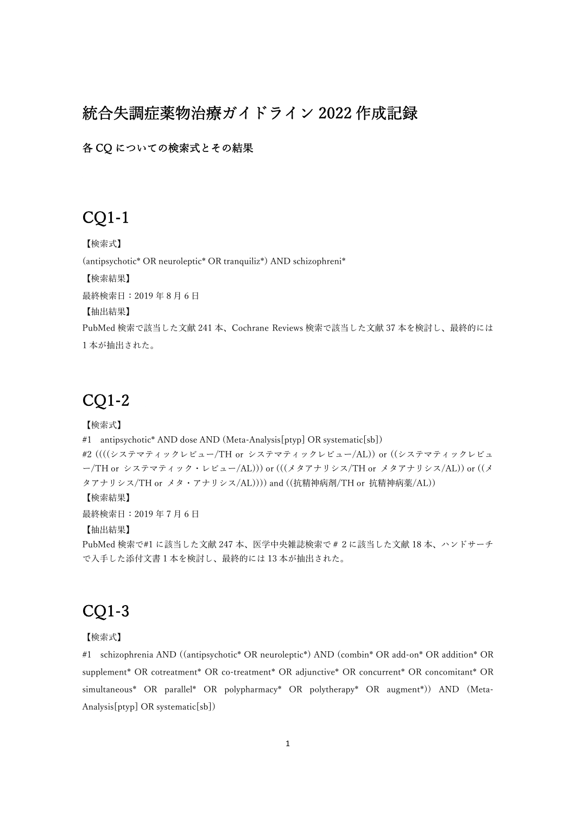## 統合失調症薬物治療ガイドライン 2022 作成記録

各 CQ についての検索式とその結果

# CQ1-1

【検索式】 (antipsychotic\* OR neuroleptic\* OR tranquiliz\*) AND schizophreni\* 【検索結果】 最終検索日: 2019年8月6日 【抽出結果】 PubMed 検索で該当した⽂献 241 本、Cochrane Reviews 検索で該当した⽂献 37 本を検討し、最終的には 1 本が抽出された。

### CQ1-2

### 【検索式】

#1 antipsychotic\* AND dose AND (Meta-Analysis[ptyp] OR systematic[sb]) #2 ((((システマティックレビュー/TH or システマティックレビュー/AL)) or ((システマティックレビュ ー/TH or システマティック・レビュー/AL))) or (((メタアナリシス/TH or メタアナリシス/AL)) or ((メ タアナリシス/TH or メタ・アナリシス/AL)))) and ((抗精神病剤/TH or 抗精神病薬/AL)) 【検索結果】 最終検索日: 2019年7月6日 【抽出結果】 PubMed 検索で#1 に該当した文献 247 本、医学中央雑誌検索で # 2 に該当した文献 18 本、ハンドサーチ で入手した添付文書1本を検討し、最終的には13本が抽出された。

# CQ1-3

### 【検索式】

#1 schizophrenia AND ((antipsychotic\* OR neuroleptic\*) AND (combin\* OR add-on\* OR addition\* OR supplement\* OR cotreatment\* OR co-treatment\* OR adjunctive\* OR concurrent\* OR concomitant\* OR simultaneous\* OR parallel\* OR polypharmacy\* OR polytherapy\* OR augment\*)) AND (Meta-Analysis[ptyp] OR systematic[sb])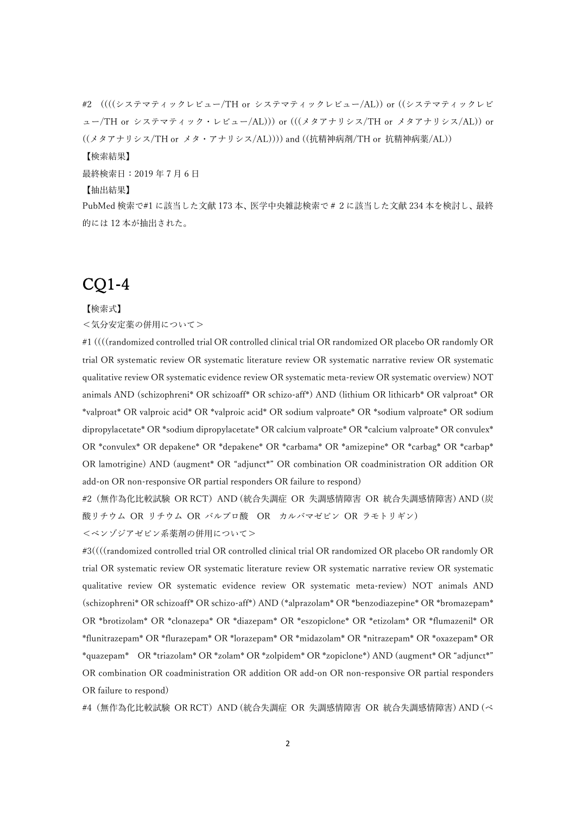#2 ((((システマティックレビュー/TH or システマティックレビュー/AL)) or ((システマティックレビ ュー/TH or システマティック・レビュー/AL))) or (((メタアナリシス/TH or メタアナリシス/AL)) or ((メタアナリシス/TH or メタ・アナリシス/AL)))) and ((抗精神病剤/TH or 抗精神病薬/AL)) 【検索結果】 最終検索日: 2019年7月6日 【抽出結果】 PubMed 検索で#1 に該当した⽂献 173 本、医学中央雑誌検索で#2に該当した⽂献 234 本を検討し、最終

### 的には 12 本が抽出された。

# CQ1-4

#### 【検索式】

#### <気分安定薬の併⽤について>

#1 ((((randomized controlled trial OR controlled clinical trial OR randomized OR placebo OR randomly OR trial OR systematic review OR systematic literature review OR systematic narrative review OR systematic qualitative review OR systematic evidence review OR systematic meta-review OR systematic overview) NOT animals AND (schizophreni\* OR schizoaff\* OR schizo-aff\*) AND (lithium OR lithicarb\* OR valproat\* OR \*valproat\* OR valproic acid\* OR \*valproic acid\* OR sodium valproate\* OR \*sodium valproate\* OR sodium dipropylacetate\* OR \*sodium dipropylacetate\* OR calcium valproate\* OR \*calcium valproate\* OR convulex\* OR \*convulex\* OR depakene\* OR \*depakene\* OR \*carbama\* OR \*amizepine\* OR \*carbag\* OR \*carbap\* OR lamotrigine) AND (augment\* OR "adjunct\*" OR combination OR coadministration OR addition OR add-on OR non-responsive OR partial responders OR failure to respond)

#2 (無作為化比較試験 OR RCT) AND (統合失調症 OR 失調感情障害 OR 統合失調感情障害) AND (炭 酸リチウム OR リチウム OR バルプロ酸 OR カルバマゼピン OR ラモトリギン) <ベンゾジアゼピン系薬剤の併用について>

#3((((randomized controlled trial OR controlled clinical trial OR randomized OR placebo OR randomly OR trial OR systematic review OR systematic literature review OR systematic narrative review OR systematic qualitative review OR systematic evidence review OR systematic meta-review) NOT animals AND (schizophreni\* OR schizoaff\* OR schizo-aff\*) AND (\*alprazolam\* OR \*benzodiazepine\* OR \*bromazepam\* OR \*brotizolam\* OR \*clonazepa\* OR \*diazepam\* OR \*eszopiclone\* OR \*etizolam\* OR \*flumazenil\* OR \*flunitrazepam\* OR \*flurazepam\* OR \*lorazepam\* OR \*midazolam\* OR \*nitrazepam\* OR \*oxazepam\* OR \*quazepam\* OR \*triazolam\* OR \*zolam\* OR \*zolpidem\* OR \*zopiclone\*) AND (augment\* OR "adjunct\*" OR combination OR coadministration OR addition OR add-on OR non-responsive OR partial responders OR failure to respond)

#4(無作為化⽐較試験 OR RCT)AND (統合失調症 OR 失調感情障害 OR 統合失調感情障害) AND (ベ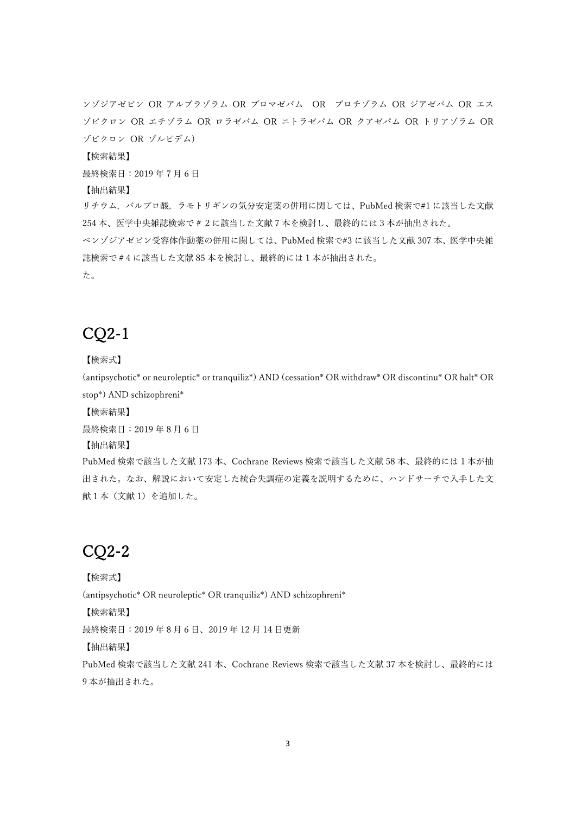ンゾジアゼピン OR アルプラゾラム OR ブロマゼパム OR ブロチゾラム OR ジアゼパム OR エス ゾピクロン OR エチゾラム OR ロラゼパム OR ニトラゼパム OR クアゼパム OR トリアゾラム OR ゾピクロン OR ゾルピデム)

【検索結果】

最終検索日: 2019年7月6日

【抽出結果】

リチウム,バルプロ酸,ラモトリギンの気分安定薬の併用に関しては、PubMed 検索で#1 に該当した文献 254本、医学中央雑誌検索で#2に該当した文献7本を検討し、最終的には3本が抽出された。 ベンゾジアゼピン受容体作動薬の併用に関しては、PubMed 検索で#3 に該当した文献 307 本、医学中央雑 誌検索で#4 に該当した⽂献 85 本を検討し、最終的には 1 本が抽出された。

た。

# CQ2-1

【検索式】

(antipsychotic\* or neuroleptic\* or tranquiliz\*) AND (cessation\* OR withdraw\* OR discontinu\* OR halt\* OR stop\*) AND schizophreni\*

【検索結果】

最終検索日: 2019年8月6日

【抽出結果】

PubMed 検索で該当した⽂献 173 本、Cochrane Reviews 検索で該当した⽂献 58 本、最終的には 1 本が抽 出された。なお、解説において安定した統合失調症の定義を説明するために、ハンドサーチで入手した文 献1本(文献1)を追加した。

# CQ2-2

【検索式】 (antipsychotic\* OR neuroleptic\* OR tranquiliz\*) AND schizophreni\* 【検索結果】 最終検索日: 2019年8月6日、2019年12月14日更新 【抽出結果】 PubMed 検索で該当した⽂献 241 本、Cochrane Reviews 検索で該当した⽂献 37 本を検討し、最終的には 9 本が抽出された。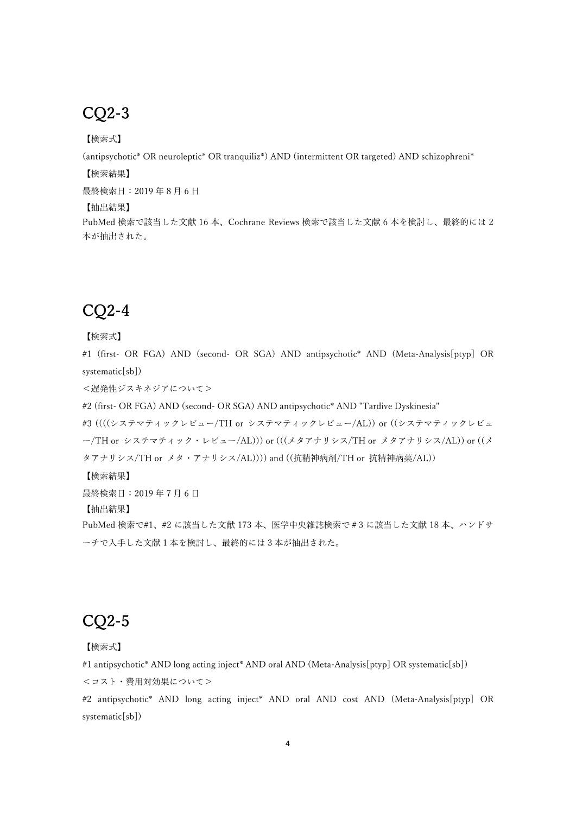# CQ2-3

【検索式】

(antipsychotic\* OR neuroleptic\* OR tranquiliz\*) AND (intermittent OR targeted) AND schizophreni\*

【検索結果】

最終検索日: 2019年8月6日

【抽出結果】

PubMed 検索で該当した⽂献 16 本、Cochrane Reviews 検索で該当した⽂献 6 本を検討し、最終的には 2 本が抽出された。

# CQ2-4

【検索式】

#1 (first- OR FGA) AND (second- OR SGA) AND antipsychotic\* AND (Meta-Analysis[ptyp] OR systematic[sb])

<遅発性ジスキネジアについて>

#2 (first- OR FGA) AND (second- OR SGA) AND antipsychotic\* AND "Tardive Dyskinesia"

#3 ((((システマティックレビュー/TH or システマティックレビュー/AL)) or ((システマティックレビュ ー/TH or システマティック・レビュー/AL))) or (((メタアナリシス/TH or メタアナリシス/AL)) or ((メ タアナリシス/TH or メタ・アナリシス/AL)))) and ((抗精神病剤/TH or 抗精神病薬/AL))

【検索結果】

最終検索日: 2019年7月6日

【抽出結果】

PubMed 検索で#1、#2 に該当した文献 173 本、医学中央雑誌検索で#3 に該当した文献 18 本、ハンドサ ーチで入手した文献1本を検討し、最終的には3本が抽出された。

# CQ2-5

【検索式】

#1 antipsychotic\* AND long acting inject\* AND oral AND (Meta-Analysis[ptyp] OR systematic[sb]) <コスト・費⽤対効果について>

#2 antipsychotic\* AND long acting inject\* AND oral AND cost AND (Meta-Analysis[ptyp] OR systematic[sb])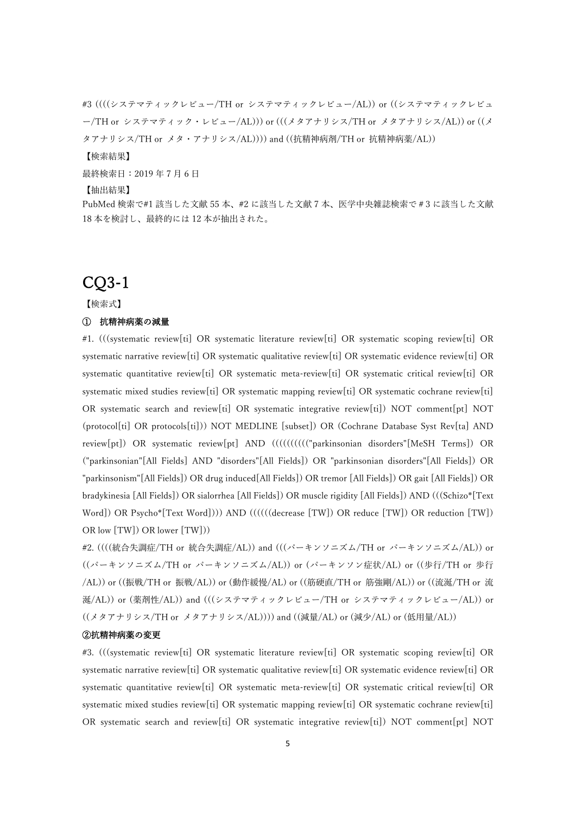#3 ((((システマティックレビュー/TH or システマティックレビュー/AL)) or ((システマティックレビュ ー/TH or システマティック・レビュー/AL))) or (((メタアナリシス/TH or メタアナリシス/AL)) or ((メ タアナリシス/TH or メタ・アナリシス/AL)))) and ((抗精神病剤/TH or 抗精神病薬/AL)) 【検索結果】 最終検索日: 2019年7月6日 【抽出結果】 PubMed 検索で#1 該当した文献 55 本、#2 に該当した文献 7 本、医学中央雑誌検索で #3 に該当した文献 18 本を検討し、最終的には 12 本が抽出された。

### CQ3-1

【検索式】

### ① 抗精神病薬の減量

#1. (((systematic review[ti] OR systematic literature review[ti] OR systematic scoping review[ti] OR systematic narrative review[ti] OR systematic qualitative review[ti] OR systematic evidence review[ti] OR systematic quantitative review[ti] OR systematic meta-review[ti] OR systematic critical review[ti] OR systematic mixed studies review[ti] OR systematic mapping review[ti] OR systematic cochrane review[ti] OR systematic search and review[ti] OR systematic integrative review[ti]) NOT comment[pt] NOT (protocol[ti] OR protocols[ti])) NOT MEDLINE [subset]) OR (Cochrane Database Syst Rev[ta] AND review[pt]) OR systematic review[pt] AND (((((((((("parkinsonian disorders"[MeSH Terms]) OR ("parkinsonian"[All Fields] AND "disorders"[All Fields]) OR "parkinsonian disorders"[All Fields]) OR "parkinsonism"[All Fields]) OR drug induced[All Fields]) OR tremor [All Fields]) OR gait [All Fields]) OR bradykinesia [All Fields]) OR sialorrhea [All Fields]) OR muscle rigidity [All Fields]) AND (((Schizo\*[Text Word]) OR Psycho\*[Text Word]))) AND ((((((decrease [TW]) OR reduce [TW]) OR reduction [TW]) OR low [TW]) OR lower [TW]))

#2. ((((統合失調症/TH or 統合失調症/AL)) and (((パーキンソニズム/TH or パーキンソニズム/AL)) or ((パーキンソニズム/TH or パーキンソニズム/AL)) or (パーキンソン症状/AL) or ((歩行/TH or 歩行 /AL)) or ((振戦/TH or 振戦/AL)) or (動作緩慢/AL) or ((筋硬直/TH or 筋強剛/AL)) or ((流涎/TH or 流 涎/AL)) or (薬剤性/AL)) and (((システマティックレビュー/TH or システマティックレビュー/AL)) or ((メタアナリシス/TH or メタアナリシス/AL)))) and ((減量/AL) or (減少/AL) or (低⽤量/AL))

### ②抗精神病薬の変更

#3. (((systematic review[ti] OR systematic literature review[ti] OR systematic scoping review[ti] OR systematic narrative review[ti] OR systematic qualitative review[ti] OR systematic evidence review[ti] OR systematic quantitative review[ti] OR systematic meta-review[ti] OR systematic critical review[ti] OR systematic mixed studies review[ti] OR systematic mapping review[ti] OR systematic cochrane review[ti] OR systematic search and review[ti] OR systematic integrative review[ti]) NOT comment[pt] NOT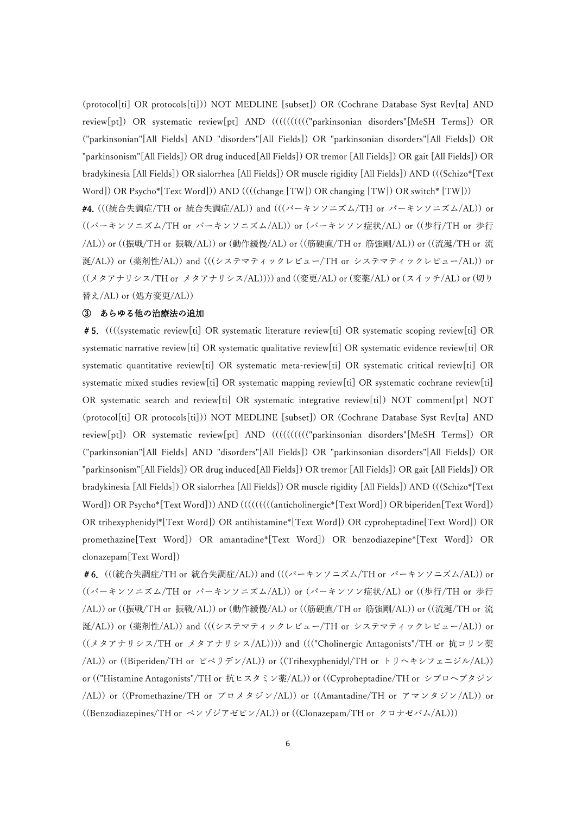(protocol[ti] OR protocols[ti])) NOT MEDLINE [subset]) OR (Cochrane Database Syst Rev[ta] AND review[pt]) OR systematic review[pt] AND (((((((((("parkinsonian disorders"[MeSH Terms]) OR ("parkinsonian"[All Fields] AND "disorders"[All Fields]) OR "parkinsonian disorders"[All Fields]) OR "parkinsonism"[All Fields]) OR drug induced[All Fields]) OR tremor [All Fields]) OR gait [All Fields]) OR bradykinesia [All Fields]) OR sialorrhea [All Fields]) OR muscle rigidity [All Fields]) AND (((Schizo\*[Text Word]) OR Psycho\*[Text Word])) AND ((((change [TW]) OR changing [TW]) OR switch\* [TW]))

#4. (((統合失調症/TH or 統合失調症/AL)) and (((パーキンソニズム/TH or パーキンソニズム/AL)) or ((パーキンソニズム/TH or パーキンソニズム/AL)) or (パーキンソン症状/AL) or ((歩行/TH or 歩行 /AL)) or ((振戦/TH or 振戦/AL)) or (動作緩慢/AL) or ((筋硬直/TH or 筋強剛/AL)) or ((流涎/TH or 流 涎/AL)) or (薬剤性/AL)) and (((システマティックレビュー/TH or システマティックレビュー/AL)) or ((メタアナリシス/TH or メタアナリシス/AL)))) and ((変更/AL) or (変薬/AL) or (スイッチ/AL) or (切り 替え/AL) or (処⽅変更/AL))

### ③ あらゆる他の治療法の追加

#5.((((systematic review[ti] OR systematic literature review[ti] OR systematic scoping review[ti] OR systematic narrative review[ti] OR systematic qualitative review[ti] OR systematic evidence review[ti] OR systematic quantitative review[ti] OR systematic meta-review[ti] OR systematic critical review[ti] OR systematic mixed studies review[ti] OR systematic mapping review[ti] OR systematic cochrane review[ti] OR systematic search and review[ti] OR systematic integrative review[ti]) NOT comment[pt] NOT (protocol[ti] OR protocols[ti])) NOT MEDLINE [subset]) OR (Cochrane Database Syst Rev[ta] AND review[pt]) OR systematic review[pt] AND (((((((((("parkinsonian disorders"[MeSH Terms]) OR ("parkinsonian"[All Fields] AND "disorders"[All Fields]) OR "parkinsonian disorders"[All Fields]) OR "parkinsonism"[All Fields]) OR drug induced[All Fields]) OR tremor [All Fields]) OR gait [All Fields]) OR bradykinesia [All Fields]) OR sialorrhea [All Fields]) OR muscle rigidity [All Fields]) AND (((Schizo\*[Text Word]) OR Psycho\*[Text Word])) AND (((((((((anticholinergic\*[Text Word]) OR biperiden[Text Word]) OR trihexyphenidyl\*[Text Word]) OR antihistamine\*[Text Word]) OR cyproheptadine[Text Word]) OR promethazine[Text Word]) OR amantadine\*[Text Word]) OR benzodiazepine\*[Text Word]) OR clonazepam[Text Word])

#6. (((統合失調症/TH or 統合失調症/AL)) and (((パーキンソニズム/TH or パーキンソニズム/AL)) or ((パーキンソニズム/TH or パーキンソニズム/AL)) or (パーキンソン症状/AL) or ((歩行/TH or 歩行 /AL)) or ((振戦/TH or 振戦/AL)) or (動作緩慢/AL) or ((筋硬直/TH or 筋強剛/AL)) or ((流涎/TH or 流 涎/AL)) or (薬剤性/AL)) and (((システマティックレビュー/TH or システマティックレビュー/AL)) or ((メタアナリシス/TH or メタアナリシス/AL)))) and ((("Cholinergic Antagonists"/TH or 抗コリン薬 /AL)) or ((Biperiden/TH or ビペリデン/AL)) or ((Trihexyphenidyl/TH or トリヘキシフェニジル/AL)) or (("Histamine Antagonists"/TH or 抗ヒスタミン薬/AL)) or ((Cyproheptadine/TH or シプロヘプタジン /AL)) or ((Promethazine/TH or プロメタジン/AL)) or ((Amantadine/TH or アマンタジン/AL)) or ((Benzodiazepines/TH or ベンゾジアゼピン/AL)) or ((Clonazepam/TH or クロナゼパム/AL)))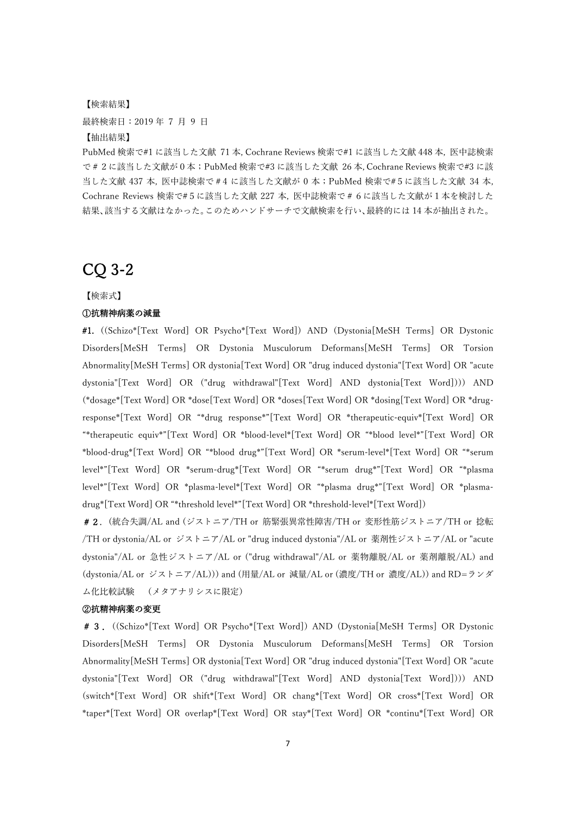#### 【検索結果】

最終検索日: 2019年 7 月 9 日

#### 【抽出結果】

PubMed 検索で#1 に該当した⽂献 71 本, Cochrane Reviews 検索で#1 に該当した⽂献 448 本, 医中誌検索 で#2に該当した⽂献が0本;PubMed 検索で#3 に該当した⽂献 26 本, Cochrane Reviews 検索で#3 に該 当した文献 437 本, 医中誌検索で#4 に該当した文献が 0 本;PubMed 検索で#5 に該当した文献 34 本, Cochrane Reviews 検索で#5に該当した⽂献 227 本, 医中誌検索で#6に該当した⽂献が1本を検討した 結果、該当する⽂献はなかった。このためハンドサーチで⽂献検索を⾏い、最終的には 14 本が抽出された。

### CQ 3-2

#### 【検索式】

#### ①抗精神病薬の減量

#1. ((Schizo\*[Text Word] OR Psycho\*[Text Word]) AND (Dystonia[MeSH Terms] OR Dystonic Disorders[MeSH Terms] OR Dystonia Musculorum Deformans[MeSH Terms] OR Torsion Abnormality[MeSH Terms] OR dystonia[Text Word] OR "drug induced dystonia"[Text Word] OR "acute dystonia"[Text Word] OR ("drug withdrawal"[Text Word] AND dystonia[Text Word]))) AND (\*dosage\*[Text Word] OR \*dose[Text Word] OR \*doses[Text Word] OR \*dosing[Text Word] OR \*drugresponse\*[Text Word] OR "\*drug response\*"[Text Word] OR \*therapeutic-equiv\*[Text Word] OR "\*therapeutic equiv\*"[Text Word] OR \*blood-level\*[Text Word] OR "\*blood level\*"[Text Word] OR \*blood-drug\*[Text Word] OR "\*blood drug\*"[Text Word] OR \*serum-level\*[Text Word] OR "\*serum level\*"[Text Word] OR \*serum-drug\*[Text Word] OR "\*serum drug\*"[Text Word] OR "\*plasma level\*"[Text Word] OR \*plasma-level\*[Text Word] OR "\*plasma drug\*"[Text Word] OR \*plasmadrug\*[Text Word] OR "\*threshold level\*"[Text Word] OR \*threshold-level\*[Text Word])

#2.(統合失調/AL and (ジストニア/TH or 筋緊張異常性障害/TH or 変形性筋ジストニア/TH or 捻転 /TH or dystonia/AL or ジストニア/AL or "drug induced dystonia"/AL or 薬剤性ジストニア/AL or "acute dystonia"/AL or 急性ジストニア/AL or ("drug withdrawal"/AL or 薬物離脱/AL or 薬剤離脱/AL) and (dystonia/AL or ジストニア/AL))) and (⽤量/AL or 減量/AL or (濃度/TH or 濃度/AL)) and RD=ランダ ム化⽐較試験 (メタアナリシスに限定)

### ②抗精神病薬の変更

#3.((Schizo\*[Text Word] OR Psycho\*[Text Word]) AND (Dystonia[MeSH Terms] OR Dystonic Disorders[MeSH Terms] OR Dystonia Musculorum Deformans[MeSH Terms] OR Torsion Abnormality[MeSH Terms] OR dystonia[Text Word] OR "drug induced dystonia"[Text Word] OR "acute dystonia"[Text Word] OR ("drug withdrawal"[Text Word] AND dystonia[Text Word]))) AND (switch\*[Text Word] OR shift\*[Text Word] OR chang\*[Text Word] OR cross\*[Text Word] OR \*taper\*[Text Word] OR overlap\*[Text Word] OR stay\*[Text Word] OR \*continu\*[Text Word] OR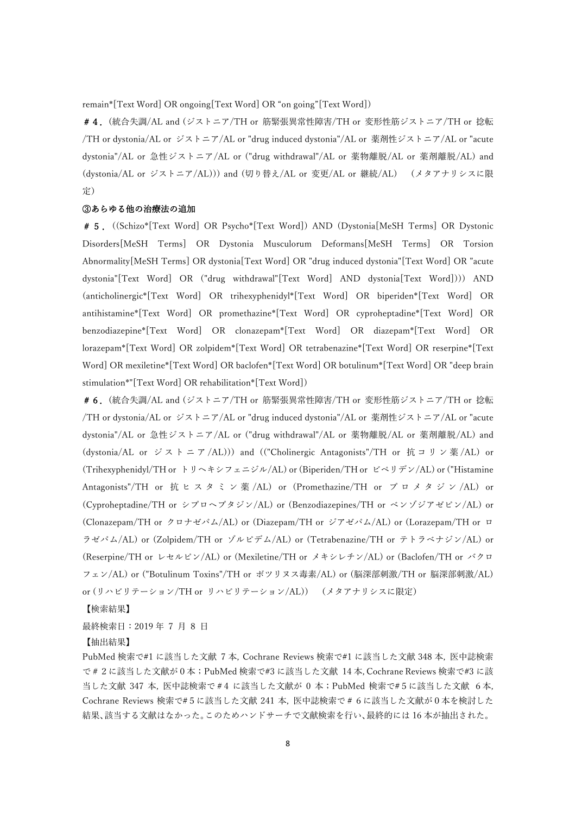remain\*[Text Word] OR ongoing[Text Word] OR "on going"[Text Word])

#4.(統合失調/AL and (ジストニア/TH or 筋緊張異常性障害/TH or 変形性筋ジストニア/TH or 捻転 /TH or dystonia/AL or ジストニア/AL or "drug induced dystonia"/AL or 薬剤性ジストニア/AL or "acute dystonia"/AL or 急性ジストニア/AL or ("drug withdrawal"/AL or 薬物離脱/AL or 薬剤離脱/AL) and (dystonia/AL or ジストニア/AL))) and (切り替え/AL or 変更/AL or 継続/AL) (メタアナリシスに限 定)

#### ③あらゆる他の治療法の追加

#5.((Schizo\*[Text Word] OR Psycho\*[Text Word]) AND (Dystonia[MeSH Terms] OR Dystonic Disorders[MeSH Terms] OR Dystonia Musculorum Deformans[MeSH Terms] OR Torsion Abnormality[MeSH Terms] OR dystonia[Text Word] OR "drug induced dystonia"[Text Word] OR "acute dystonia"[Text Word] OR ("drug withdrawal"[Text Word] AND dystonia[Text Word]))) AND (anticholinergic\*[Text Word] OR trihexyphenidyl\*[Text Word] OR biperiden\*[Text Word] OR antihistamine\*[Text Word] OR promethazine\*[Text Word] OR cyproheptadine\*[Text Word] OR benzodiazepine\*[Text Word] OR clonazepam\*[Text Word] OR diazepam\*[Text Word] OR lorazepam\*[Text Word] OR zolpidem\*[Text Word] OR tetrabenazine\*[Text Word] OR reserpine\*[Text Word] OR mexiletine\*[Text Word] OR baclofen\*[Text Word] OR botulinum\*[Text Word] OR "deep brain stimulation\*"[Text Word] OR rehabilitation\*[Text Word])

#6.(統合失調/AL and (ジストニア/TH or 筋緊張異常性障害/TH or 変形性筋ジストニア/TH or 捻転 /TH or dystonia/AL or ジストニア/AL or "drug induced dystonia"/AL or 薬剤性ジストニア/AL or "acute dystonia"/AL or 急性ジストニア/AL or ("drug withdrawal"/AL or 薬物離脱/AL or 薬剤離脱/AL) and (dystonia/AL or ジストニア/AL))) and (("Cholinergic Antagonists"/TH or 抗コリン薬/AL) or (Trihexyphenidyl/TH or トリヘキシフェニジル/AL) or (Biperiden/TH or ビペリデン/AL) or ("Histamine Antagonists"/TH or 抗 ヒ ス タ ミ ン 薬 /AL) or (Promethazine/TH or プ ロ メ タ ジ ン /AL) or (Cyproheptadine/TH or シプロヘプタジン/AL) or (Benzodiazepines/TH or ベンゾジアゼピン/AL) or (Clonazepam/TH or クロナゼパム/AL) or (Diazepam/TH or ジアゼパム/AL) or (Lorazepam/TH or ロ ラゼパム/AL) or (Zolpidem/TH or ゾルピデム/AL) or (Tetrabenazine/TH or テトラベナジン/AL) or (Reserpine/TH or レセルピン/AL) or (Mexiletine/TH or メキシレチン/AL) or (Baclofen/TH or バクロ フェン/AL) or ("Botulinum Toxins"/TH or ボツリヌス毒素/AL) or (脳深部刺激/TH or 脳深部刺激/AL) or (リハビリテーション/TH or リハビリテーション/AL)) (メタアナリシスに限定)

【検索結果】

最終検索日: 2019年 7 月 8 日

#### 【抽出結果】

PubMed 検索で#1 に該当した⽂献 7 本, Cochrane Reviews 検索で#1 に該当した⽂献 348 本, 医中誌検索 で#2に該当した⽂献が0本;PubMed 検索で#3 に該当した⽂献 14 本, Cochrane Reviews 検索で#3 に該 当した文献 347 本, 医中誌検索で#4 に該当した文献が 0 本; PubMed 検索で#5に該当した文献 6本, Cochrane Reviews 検索で#5に該当した⽂献 241 本, 医中誌検索で#6に該当した⽂献が0本を検討した 結果、該当する文献はなかった。このためハンドサーチで文献検索を行い、最終的には 16 本が抽出された。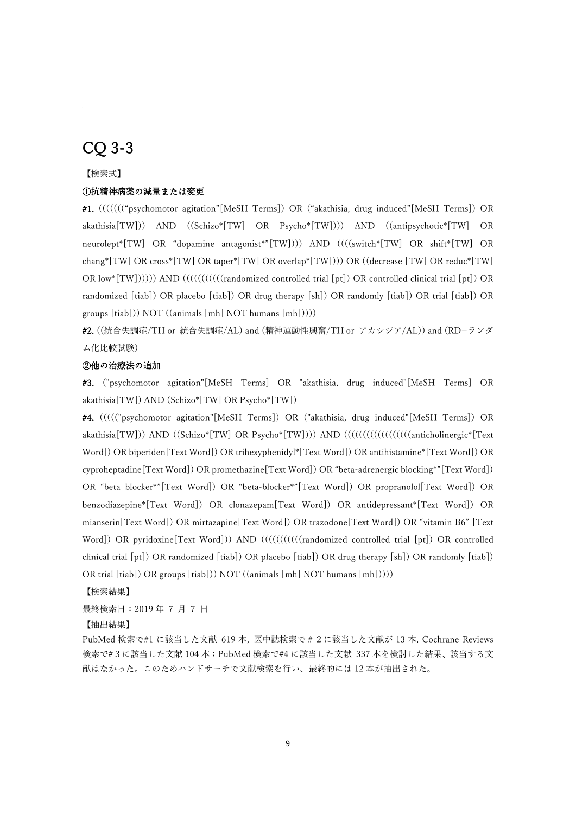# CQ 3-3

### 【検索式】

#### ①抗精神病薬の減量または変更

#1. ((((((("psychomotor agitation"[MeSH Terms]) OR ("akathisia, drug induced"[MeSH Terms]) OR akathisia[TW])) AND ((Schizo\*[TW] OR Psycho\*[TW]))) AND ((antipsychotic\*[TW] OR neurolept\*[TW] OR "dopamine antagonist\*"[TW]))) AND ((((switch\*[TW] OR shift\*[TW] OR chang\*[TW] OR cross\*[TW] OR taper\*[TW] OR overlap\*[TW]))) OR ((decrease [TW] OR reduc\*[TW] OR low\*[TW]))))) AND (((((((((((randomized controlled trial [pt]) OR controlled clinical trial [pt]) OR randomized [tiab]) OR placebo [tiab]) OR drug therapy [sh]) OR randomly [tiab]) OR trial [tiab]) OR groups [tiab])) NOT ((animals [mh] NOT humans [mh]))))

#2. ((統合失調症/TH or 統合失調症/AL) and (精神運動性興奮/TH or アカシジア/AL)) and (RD=ランダ ム化比較試験)

#### ②他の治療法の追加

#3. ("psychomotor agitation"[MeSH Terms] OR "akathisia, drug induced"[MeSH Terms] OR akathisia[TW]) AND (Schizo\*[TW] OR Psycho\*[TW])

#4. ((((("psychomotor agitation"[MeSH Terms]) OR ("akathisia, drug induced"[MeSH Terms]) OR akathisia[TW])) AND ((Schizo\*[TW] OR Psycho\*[TW]))) AND (((((((((((((((((((((((((((((((((anticholinergic\*[Text Word]) OR biperiden[Text Word]) OR trihexyphenidyl\*[Text Word]) OR antihistamine\*[Text Word]) OR cyproheptadine[Text Word]) OR promethazine[Text Word]) OR "beta-adrenergic blocking\*"[Text Word]) OR "beta blocker\*"[Text Word]) OR "beta-blocker\*"[Text Word]) OR propranolol[Text Word]) OR benzodiazepine\*[Text Word]) OR clonazepam[Text Word]) OR antidepressant\*[Text Word]) OR mianserin[Text Word]) OR mirtazapine[Text Word]) OR trazodone[Text Word]) OR "vitamin B6" [Text Word]) OR pyridoxine[Text Word])) AND ((((((((((randomized controlled trial [pt]) OR controlled clinical trial [pt]) OR randomized [tiab]) OR placebo [tiab]) OR drug therapy [sh]) OR randomly [tiab]) OR trial [tiab]) OR groups [tiab])) NOT ((animals [mh] NOT humans [mh]))))

【検索結果】

最終検索日: 2019年 7 月 7 日

#### 【抽出結果】

PubMed 検索で#1 に該当した⽂献 619 本, 医中誌検索で#2に該当した⽂献が 13 本, Cochrane Reviews 検索で#3に該当した⽂献 104 本;PubMed 検索で#4 に該当した⽂献 337 本を検討した結果、該当する⽂ 献はなかった。このためハンドサーチで文献検索を行い、最終的には 12 本が抽出された。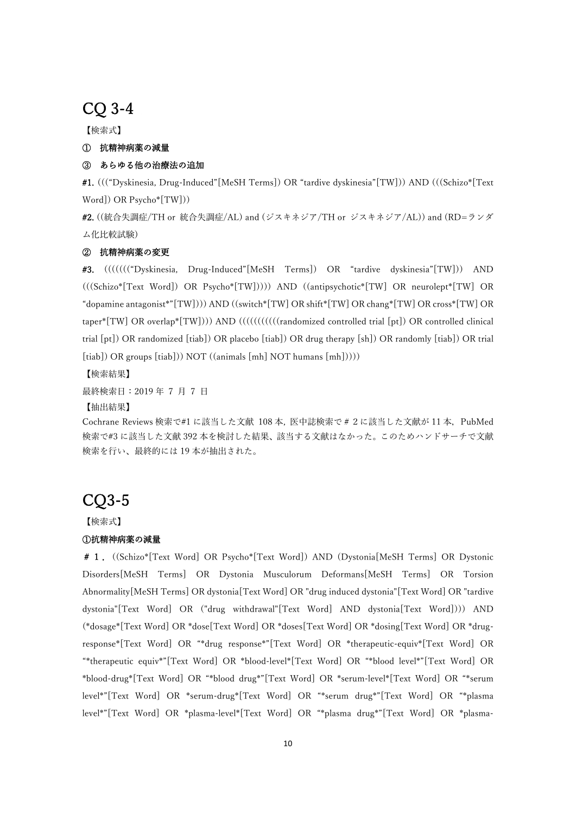## CQ 3-4

【検索式】

### ① 抗精神病薬の減量

### ③ あらゆる他の治療法の追加

#1. ((("Dyskinesia, Drug-Induced"[MeSH Terms]) OR "tardive dyskinesia"[TW])) AND (((Schizo\*[Text Word]) OR Psycho\*[TW]))

#2. ((統合失調症/TH or 統合失調症/AL) and (ジスキネジア/TH or ジスキネジア/AL)) and (RD=ランダ ム化比較試験)

#### ② 抗精神病薬の変更

#3. ((((((("Dyskinesia, Drug-Induced"[MeSH Terms]) OR "tardive dyskinesia"[TW])) AND (((Schizo\*[Text Word]) OR Psycho\*[TW])))) AND ((antipsychotic\*[TW] OR neurolept\*[TW] OR "dopamine antagonist\*"[TW]))) AND ((switch\*[TW] OR shift\*[TW] OR chang\*[TW] OR cross\*[TW] OR taper\*[TW] OR overlap\*[TW]))) AND (((((((((((randomized controlled trial [pt]) OR controlled clinical trial [pt]) OR randomized [tiab]) OR placebo [tiab]) OR drug therapy [sh]) OR randomly [tiab]) OR trial  $[tiab]$ ) OR groups  $[tiab]$ )) NOT  $((animals [mh] NOT humans [mh]))$ )

【検索結果】

最終検索日: 2019年 7 日 7 日

【抽出結果】

Cochrane Reviews 検索で#1 に該当した⽂献 108 本, 医中誌検索で#2に該当した⽂献が 11 本,PubMed 検索で#3 に該当した文献 392 本を検討した結果、該当する文献はなかった。このためハンドサーチで文献 検索を⾏い、最終的には 19 本が抽出された。

# CQ3-5

【検索式】

### ①抗精神病薬の減量

#1.((Schizo\*[Text Word] OR Psycho\*[Text Word]) AND (Dystonia[MeSH Terms] OR Dystonic Disorders[MeSH Terms] OR Dystonia Musculorum Deformans[MeSH Terms] OR Torsion Abnormality[MeSH Terms] OR dystonia[Text Word] OR "drug induced dystonia"[Text Word] OR "tardive dystonia"[Text Word] OR ("drug withdrawal"[Text Word] AND dystonia[Text Word]))) AND (\*dosage\*[Text Word] OR \*dose[Text Word] OR \*doses[Text Word] OR \*dosing[Text Word] OR \*drugresponse\*[Text Word] OR "\*drug response\*"[Text Word] OR \*therapeutic-equiv\*[Text Word] OR "\*therapeutic equiv\*"[Text Word] OR \*blood-level\*[Text Word] OR "\*blood level\*"[Text Word] OR \*blood-drug\*[Text Word] OR "\*blood drug\*"[Text Word] OR \*serum-level\*[Text Word] OR "\*serum level\*"[Text Word] OR \*serum-drug\*[Text Word] OR "\*serum drug\*"[Text Word] OR "\*plasma level\*"[Text Word] OR \*plasma-level\*[Text Word] OR "\*plasma drug\*"[Text Word] OR \*plasma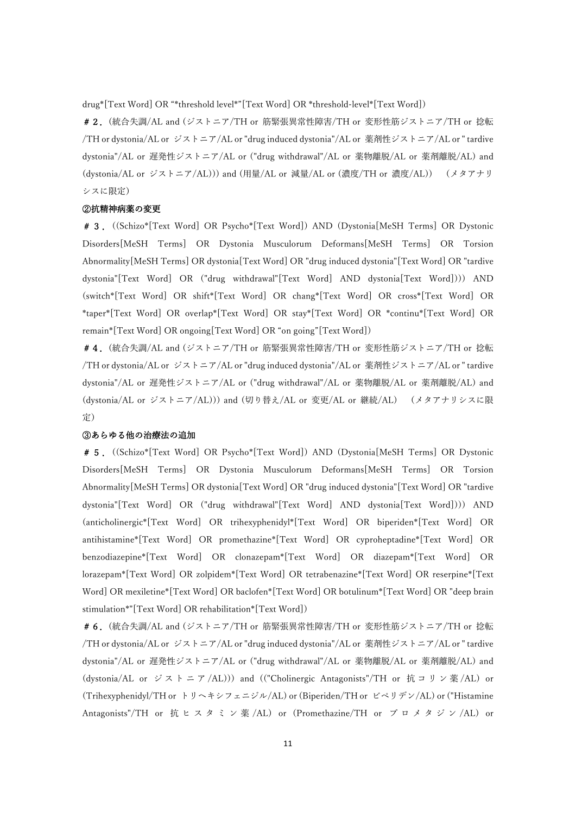drug\*[Text Word] OR "\*threshold level\*"[Text Word] OR \*threshold-level\*[Text Word])

#2.(統合失調/AL and (ジストニア/TH or 筋緊張異常性障害/TH or 変形性筋ジストニア/TH or 捻転 /TH or dystonia/AL or ジストニア/AL or "drug induced dystonia"/AL or 薬剤性ジストニア/AL or " tardive dystonia"/AL or 遅発性ジストニア/AL or ("drug withdrawal"/AL or 薬物離脱/AL or 薬剤離脱/AL) and (dystonia/AL or ジストニア/AL))) and (⽤量/AL or 減量/AL or (濃度/TH or 濃度/AL)) (メタアナリ シスに限定)

#### ②抗精神病薬の変更

#3.((Schizo\*[Text Word] OR Psycho\*[Text Word]) AND (Dystonia[MeSH Terms] OR Dystonic Disorders[MeSH Terms] OR Dystonia Musculorum Deformans[MeSH Terms] OR Torsion Abnormality[MeSH Terms] OR dystonia[Text Word] OR "drug induced dystonia"[Text Word] OR "tardive dystonia"[Text Word] OR ("drug withdrawal"[Text Word] AND dystonia[Text Word]))) AND (switch\*[Text Word] OR shift\*[Text Word] OR chang\*[Text Word] OR cross\*[Text Word] OR \*taper\*[Text Word] OR overlap\*[Text Word] OR stay\*[Text Word] OR \*continu\*[Text Word] OR remain\*[Text Word] OR ongoing[Text Word] OR "on going"[Text Word])

#4.(統合失調/AL and (ジストニア/TH or 筋緊張異常性障害/TH or 変形性筋ジストニア/TH or 捻転 /TH or dystonia/AL or ジストニア/AL or "drug induced dystonia"/AL or 薬剤性ジストニア/AL or " tardive dystonia"/AL or 遅発性ジストニア/AL or ("drug withdrawal"/AL or 薬物離脱/AL or 薬剤離脱/AL) and (dystonia/AL or ジストニア/AL))) and (切り替え/AL or 変更/AL or 継続/AL) (メタアナリシスに限 定)

#### ③あらゆる他の治療法の追加

#5.((Schizo\*[Text Word] OR Psycho\*[Text Word]) AND (Dystonia[MeSH Terms] OR Dystonic Disorders[MeSH Terms] OR Dystonia Musculorum Deformans[MeSH Terms] OR Torsion Abnormality[MeSH Terms] OR dystonia[Text Word] OR "drug induced dystonia"[Text Word] OR "tardive dystonia"[Text Word] OR ("drug withdrawal"[Text Word] AND dystonia[Text Word]))) AND (anticholinergic\*[Text Word] OR trihexyphenidyl\*[Text Word] OR biperiden\*[Text Word] OR antihistamine\*[Text Word] OR promethazine\*[Text Word] OR cyproheptadine\*[Text Word] OR benzodiazepine\*[Text Word] OR clonazepam\*[Text Word] OR diazepam\*[Text Word] OR lorazepam\*[Text Word] OR zolpidem\*[Text Word] OR tetrabenazine\*[Text Word] OR reserpine\*[Text Word] OR mexiletine\*[Text Word] OR baclofen\*[Text Word] OR botulinum\*[Text Word] OR "deep brain stimulation\*"[Text Word] OR rehabilitation\*[Text Word])

#6.(統合失調/AL and (ジストニア/TH or 筋緊張異常性障害/TH or 変形性筋ジストニア/TH or 捻転 /TH or dystonia/AL or ジストニア/AL or "drug induced dystonia"/AL or 薬剤性ジストニア/AL or " tardive dystonia"/AL or 遅発性ジストニア/AL or ("drug withdrawal"/AL or 薬物離脱/AL or 薬剤離脱/AL) and (dystonia/AL or ジストニア/AL))) and (("Cholinergic Antagonists"/TH or 抗コリン薬/AL) or (Trihexyphenidyl/TH or トリヘキシフェニジル/AL) or (Biperiden/TH or ビペリデン/AL) or ("Histamine Antagonists"/TH or 抗 ヒ ス タ ミ ン 薬 /AL) or (Promethazine/TH or プ ロ メ タ ジ ン /AL) or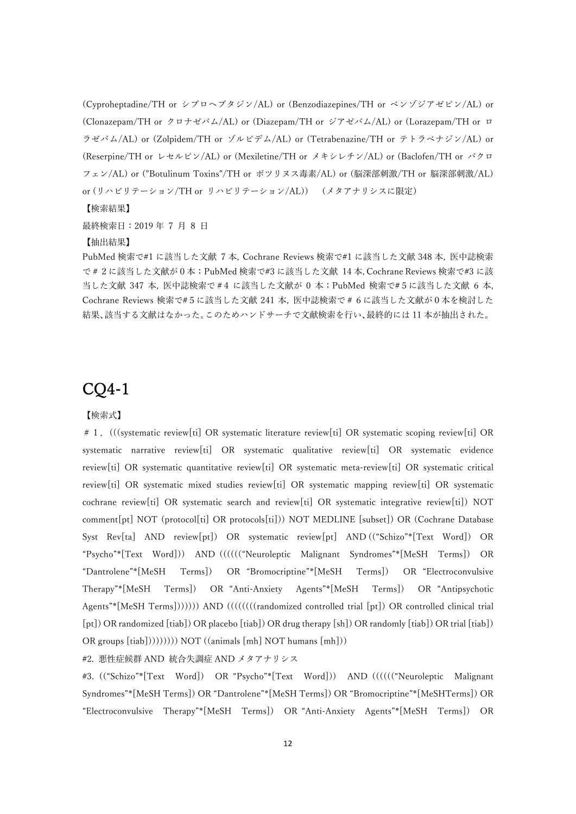(Cyproheptadine/TH or シプロヘプタジン/AL) or (Benzodiazepines/TH or ベンゾジアゼピン/AL) or (Clonazepam/TH or クロナゼパム/AL) or (Diazepam/TH or ジアゼパム/AL) or (Lorazepam/TH or ロ ラゼパム/AL) or (Zolpidem/TH or ゾルピデム/AL) or (Tetrabenazine/TH or テトラベナジン/AL) or (Reserpine/TH or レセルピン/AL) or (Mexiletine/TH or メキシレチン/AL) or (Baclofen/TH or バクロ フェン/AL) or ("Botulinum Toxins"/TH or ボツリヌス毒素/AL) or (脳深部刺激/TH or 脳深部刺激/AL) or (リハビリテーション/TH or リハビリテーション/AL)) (メタアナリシスに限定)

【検索結果】

最終検索日: 2019年7月8日

#### 【抽出結果】

PubMed 検索で#1 に該当した⽂献 7 本, Cochrane Reviews 検索で#1 に該当した⽂献 348 本, 医中誌検索 で#2に該当した⽂献が0本;PubMed 検索で#3 に該当した⽂献 14 本, Cochrane Reviews 検索で#3 に該 当した文献 347 本, 医中誌検索で#4 に該当した文献が 0 本; PubMed 検索で#5に該当した文献 6 本, Cochrane Reviews 検索で#5に該当した⽂献 241 本, 医中誌検索で#6に該当した⽂献が0本を検討した 結果、該当する⽂献はなかった。このためハンドサーチで⽂献検索を⾏い、最終的には 11 本が抽出された。

### CQ4-1

#### 【検索式】

# 1. (((systematic review[ti] OR systematic literature review[ti] OR systematic scoping review[ti] OR systematic narrative review[ti] OR systematic qualitative review[ti] OR systematic evidence review[ti] OR systematic quantitative review[ti] OR systematic meta-review[ti] OR systematic critical review[ti] OR systematic mixed studies review[ti] OR systematic mapping review[ti] OR systematic cochrane review[ti] OR systematic search and review[ti] OR systematic integrative review[ti]) NOT comment[pt] NOT (protocol[ti] OR protocols[ti])) NOT MEDLINE [subset]) OR (Cochrane Database Syst Rev[ta] AND review[pt]) OR systematic review[pt] AND (("Schizo"\*[Text Word]) OR "Psycho"\*[Text Word])) AND (((((("Neuroleptic Malignant Syndromes"\*[MeSH Terms]) OR "Dantrolene"\*[MeSH Terms]) OR "Bromocriptine"\*[MeSH Terms]) OR "Electroconvulsive Therapy"\*[MeSH Terms]) OR "Anti-Anxiety Agents"\*[MeSH Terms]) OR "Antipsychotic Agents"\*[MeSH Terms])))))) AND ((((((((randomized controlled trial [pt]) OR controlled clinical trial [pt]) OR randomized [tiab]) OR placebo [tiab]) OR drug therapy [sh]) OR randomly [tiab]) OR trial [tiab]) OR groups [tiab])))))))) NOT ((animals [mh] NOT humans [mh]))

#2. 悪性症候群 AND 統合失調症 AND メタアナリシス

#3. (("Schizo"\*[Text Word]) OR "Psycho"\*[Text Word])) AND (((((("Neuroleptic Malignant Syndromes"\*[MeSH Terms]) OR "Dantrolene"\*[MeSH Terms]) OR "Bromocriptine"\*[MeSHTerms]) OR "Electroconvulsive Therapy"\*[MeSH Terms]) OR "Anti-Anxiety Agents"\*[MeSH Terms]) OR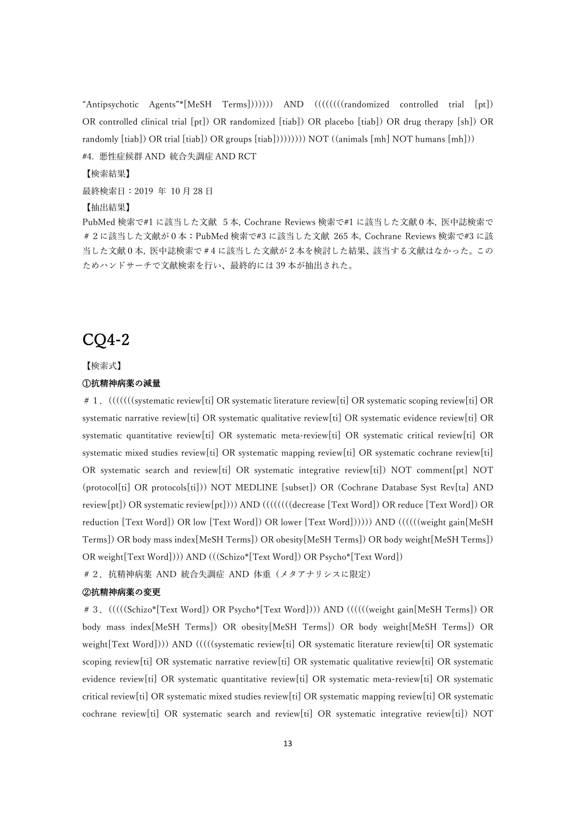"Antipsychotic Agents"\*[MeSH Terms])))))) AND ((((((((randomized controlled trial [pt]) OR controlled clinical trial [pt]) OR randomized [tiab]) OR placebo [tiab]) OR drug therapy [sh]) OR randomly [tiab]) OR trial [tiab]) OR groups [tiab])))))))) NOT ((animals [mh] NOT humans [mh])) #4. 悪性症候群 AND 統合失調症 AND RCT

【検索結果】

最終検索日: 2019 年 10月28日

【抽出結果】

PubMed 検索で#1 に該当した文献 5本, Cochrane Reviews 検索で#1 に該当した文献0本, 医中誌検索で # 2に該当した文献が0本;PubMed 検索で#3 に該当した文献 265 本, Cochrane Reviews 検索で#3 に該 当した文献0本, 医中誌検索で#4に該当した文献が2本を検討した結果、該当する文献はなかった。この ためハンドサーチで文献検索を行い、最終的には 39 本が抽出された。

## CQ4-2

【検索式】

#### ①抗精神病薬の減量

# 1. (((((((systematic review[ti] OR systematic literature review[ti] OR systematic scoping review[ti] OR systematic narrative review[ti] OR systematic qualitative review[ti] OR systematic evidence review[ti] OR systematic quantitative review[ti] OR systematic meta-review[ti] OR systematic critical review[ti] OR systematic mixed studies review[ti] OR systematic mapping review[ti] OR systematic cochrane review[ti] OR systematic search and review[ti] OR systematic integrative review[ti]) NOT comment[pt] NOT (protocol[ti] OR protocols[ti])) NOT MEDLINE [subset]) OR (Cochrane Database Syst Rev[ta] AND review[pt]) OR systematic review[pt]))) AND ((((((((decrease [Text Word]) OR reduce [Text Word]) OR reduction [Text Word]) OR low [Text Word]) OR lower [Text Word]))))) AND ((((((weight gain[MeSH Terms]) OR body mass index[MeSH Terms]) OR obesity[MeSH Terms]) OR body weight[MeSH Terms]) OR weight[Text Word]))) AND (((Schizo\*[Text Word]) OR Psycho\*[Text Word])

#2.抗精神病薬 AND 統合失調症 AND 体重(メタアナリシスに限定)

### ②抗精神病薬の変更

#3.(((((Schizo\*[Text Word]) OR Psycho\*[Text Word]))) AND ((((((weight gain[MeSH Terms]) OR body mass index[MeSH Terms]) OR obesity[MeSH Terms]) OR body weight[MeSH Terms]) OR weight[Text Word]))) AND (((((systematic review[ti] OR systematic literature review[ti] OR systematic scoping review[ti] OR systematic narrative review[ti] OR systematic qualitative review[ti] OR systematic evidence review[ti] OR systematic quantitative review[ti] OR systematic meta-review[ti] OR systematic critical review[ti] OR systematic mixed studies review[ti] OR systematic mapping review[ti] OR systematic cochrane review[ti] OR systematic search and review[ti] OR systematic integrative review[ti]) NOT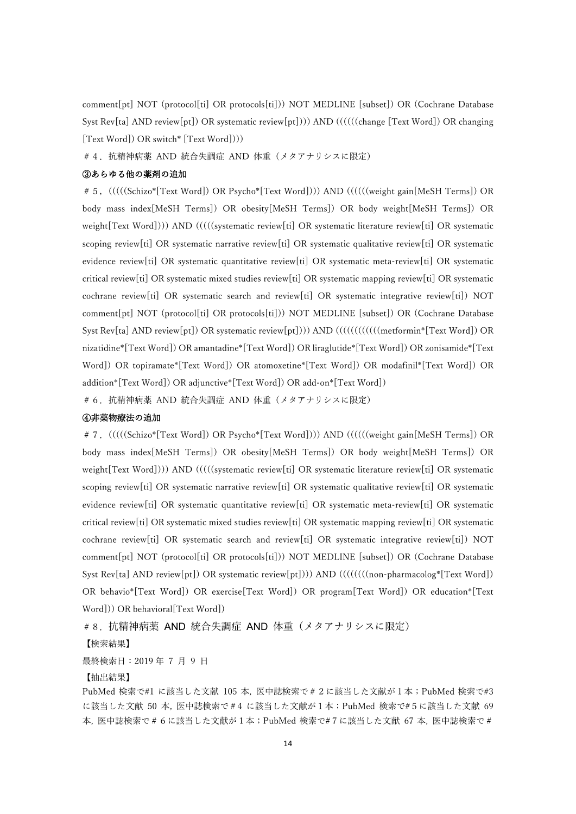comment[pt] NOT (protocol[ti] OR protocols[ti])) NOT MEDLINE [subset]) OR (Cochrane Database Syst Rev[ta] AND review[pt]) OR systematic review[pt]))) AND ((((((change [Text Word]) OR changing [Text Word]) OR switch\* [Text Word])))

#4.抗精神病薬 AND 統合失調症 AND 体重(メタアナリシスに限定)

### ③あらゆる他の薬剤の追加

#5,(((((Schizo\*[Text Word]) OR Psycho\*[Text Word]))) AND ((((((weight gain[MeSH Terms]) OR body mass index[MeSH Terms]) OR obesity[MeSH Terms]) OR body weight[MeSH Terms]) OR weight[Text Word]))) AND (((((systematic review[ti] OR systematic literature review[ti] OR systematic scoping review[ti] OR systematic narrative review[ti] OR systematic qualitative review[ti] OR systematic evidence review[ti] OR systematic quantitative review[ti] OR systematic meta-review[ti] OR systematic critical review[ti] OR systematic mixed studies review[ti] OR systematic mapping review[ti] OR systematic cochrane review[ti] OR systematic search and review[ti] OR systematic integrative review[ti]) NOT comment[pt] NOT (protocol[ti] OR protocols[ti])) NOT MEDLINE [subset]) OR (Cochrane Database Syst Rev[ta] AND review[pt]) OR systematic review[pt]))) AND ((((((((((((metformin\*[Text Word]) OR nizatidine\*[Text Word]) OR amantadine\*[Text Word]) OR liraglutide\*[Text Word]) OR zonisamide\*[Text Word]) OR topiramate\*[Text Word]) OR atomoxetine\*[Text Word]) OR modafinil\*[Text Word]) OR addition\*[Text Word]) OR adjunctive\*[Text Word]) OR add-on\*[Text Word])

#6.抗精神病薬 AND 統合失調症 AND 体重(メタアナリシスに限定)

#### ④⾮薬物療法の追加

# 7. (((((Schizo\*[Text Word]) OR Psycho\*[Text Word]))) AND ((((((weight gain[MeSH Terms]) OR body mass index[MeSH Terms]) OR obesity[MeSH Terms]) OR body weight[MeSH Terms]) OR weight[Text Word]))) AND (((((systematic review[ti] OR systematic literature review[ti] OR systematic scoping review[ti] OR systematic narrative review[ti] OR systematic qualitative review[ti] OR systematic evidence review[ti] OR systematic quantitative review[ti] OR systematic meta-review[ti] OR systematic critical review[ti] OR systematic mixed studies review[ti] OR systematic mapping review[ti] OR systematic cochrane review[ti] OR systematic search and review[ti] OR systematic integrative review[ti]) NOT comment[pt] NOT (protocol[ti] OR protocols[ti])) NOT MEDLINE [subset]) OR (Cochrane Database Syst Rev[ta] AND review[pt]) OR systematic review[pt]))) AND ((((((((non-pharmacolog\*[Text Word]) OR behavio\*[Text Word]) OR exercise[Text Word]) OR program[Text Word]) OR education\*[Text Word])) OR behavioral[Text Word])

#8.抗精神病薬 AND 統合失調症 AND 体重(メタアナリシスに限定)

【検索結果】

最終検索日: 2019年 7 月 9 日

【抽出結果】

PubMed 検索で#1 に該当した⽂献 105 本, 医中誌検索で#2に該当した⽂献が1本;PubMed 検索で#3 に該当した⽂献 50 本, 医中誌検索で#4 に該当した⽂献が1本;PubMed 検索で#5に該当した⽂献 69 本, 医中誌検索で#6に該当した⽂献が1本;PubMed 検索で#7に該当した⽂献 67 本, 医中誌検索で#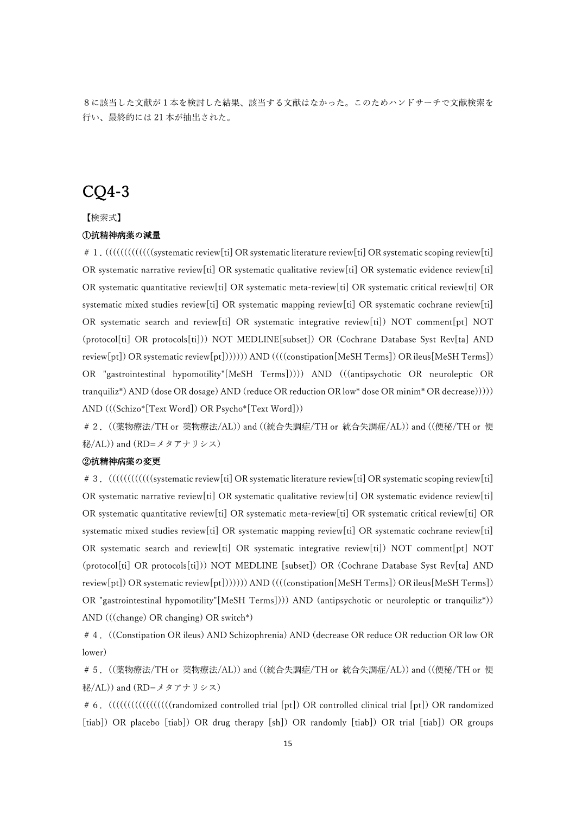8に該当した文献が1本を検討した結果、該当する文献はなかった。このためハンドサーチで文献検索を ⾏い、最終的には 21 本が抽出された。

# CQ4-3

【検索式】

### ①抗精神病薬の減量

# 1. (((((((((((((systematic review[ti] OR systematic literature review[ti] OR systematic scoping review[ti] OR systematic narrative review[ti] OR systematic qualitative review[ti] OR systematic evidence review[ti] OR systematic quantitative review[ti] OR systematic meta-review[ti] OR systematic critical review[ti] OR systematic mixed studies review[ti] OR systematic mapping review[ti] OR systematic cochrane review[ti] OR systematic search and review[ti] OR systematic integrative review[ti]) NOT comment[pt] NOT (protocol[ti] OR protocols[ti])) NOT MEDLINE[subset]) OR (Cochrane Database Syst Rev[ta] AND review[pt]) OR systematic review[pt])))))) AND ((((constipation[MeSH Terms]) OR ileus[MeSH Terms]) OR "gastrointestinal hypomotility"[MeSH Terms])))) AND (((antipsychotic OR neuroleptic OR tranquiliz\*) AND (dose OR dosage) AND (reduce OR reduction OR low\* dose OR minim\* OR decrease))))) AND (((Schizo\*[Text Word]) OR Psycho\*[Text Word]))

#2.((薬物療法/TH or 薬物療法/AL)) and ((統合失調症/TH or 統合失調症/AL)) and ((便秘/TH or 便 秘/AL)) and (RD=メタアナリシス)

### ②抗精神病薬の変更

# 3.  $(((((())_{s}$ stematic review[ti] OR systematic literature review[ti] OR systematic scoping review[ti] OR systematic narrative review[ti] OR systematic qualitative review[ti] OR systematic evidence review[ti] OR systematic quantitative review[ti] OR systematic meta-review[ti] OR systematic critical review[ti] OR systematic mixed studies review[ti] OR systematic mapping review[ti] OR systematic cochrane review[ti] OR systematic search and review[ti] OR systematic integrative review[ti]) NOT comment[pt] NOT (protocol[ti] OR protocols[ti])) NOT MEDLINE [subset]) OR (Cochrane Database Syst Rev[ta] AND review[pt]) OR systematic review[pt])))))) AND ((((constipation[MeSH Terms]) OR ileus[MeSH Terms]) OR "gastrointestinal hypomotility"[MeSH Terms]))) AND (antipsychotic or neuroleptic or tranquiliz\*)) AND (((change) OR changing) OR switch\*)

#4.((Constipation OR ileus) AND Schizophrenia) AND (decrease OR reduce OR reduction OR low OR lower)

#5.((薬物療法/TH or 薬物療法/AL)) and ((統合失調症/TH or 統合失調症/AL)) and ((便秘/TH or 便 秘/AL)) and (RD=メタアナリシス)

#6.(((((((((((((((((randomized controlled trial [pt]) OR controlled clinical trial [pt]) OR randomized [tiab]) OR placebo [tiab]) OR drug therapy [sh]) OR randomly [tiab]) OR trial [tiab]) OR groups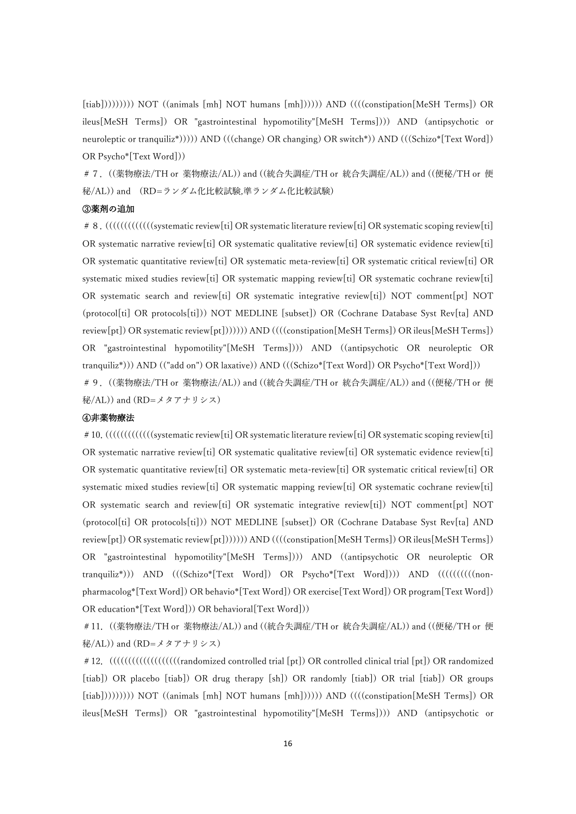[tiab])))))))))) NOT ((animals [mh] NOT humans [mh]))))) AND ((((constipation[MeSH Terms]) OR ileus[MeSH Terms]) OR "gastrointestinal hypomotility"[MeSH Terms]))) AND (antipsychotic or neuroleptic or tranquiliz\*))))) AND (((change) OR changing) OR switch\*)) AND (((Schizo\*[Text Word]) OR Psycho\*[Text Word]))

#7.((薬物療法/TH or 薬物療法/AL)) and ((統合失調症/TH or 統合失調症/AL)) and ((便秘/TH or 便 秘/AL)) and (RD=ランダム化⽐較試験,準ランダム化⽐較試験)

#### ③薬剤の追加

# 8. (((((((((((((((systematic review[ti] OR systematic literature review[ti] OR systematic scoping review[ti] OR systematic narrative review[ti] OR systematic qualitative review[ti] OR systematic evidence review[ti] OR systematic quantitative review[ti] OR systematic meta-review[ti] OR systematic critical review[ti] OR systematic mixed studies review[ti] OR systematic mapping review[ti] OR systematic cochrane review[ti] OR systematic search and review[ti] OR systematic integrative review[ti]) NOT comment[pt] NOT (protocol[ti] OR protocols[ti])) NOT MEDLINE [subset]) OR (Cochrane Database Syst Rev[ta] AND review[pt]) OR systematic review[pt])))))) AND ((((constipation[MeSH Terms]) OR ileus[MeSH Terms]) OR "gastrointestinal hypomotility"[MeSH Terms]))) AND ((antipsychotic OR neuroleptic OR tranquiliz\*))) AND (("add on") OR laxative)) AND (((Schizo\*[Text Word]) OR Psycho\*[Text Word]))

#9.((薬物療法/TH or 薬物療法/AL)) and ((統合失調症/TH or 統合失調症/AL)) and ((便秘/TH or 便 秘/AL)) and (RD=メタアナリシス)

#### ④⾮薬物療法

# 10. (((((((((((((((((systematic review[ti] OR systematic literature review[ti] OR systematic scoping review[ti] OR systematic narrative review[ti] OR systematic qualitative review[ti] OR systematic evidence review[ti] OR systematic quantitative review[ti] OR systematic meta-review[ti] OR systematic critical review[ti] OR systematic mixed studies review[ti] OR systematic mapping review[ti] OR systematic cochrane review[ti] OR systematic search and review[ti] OR systematic integrative review[ti]) NOT comment[pt] NOT (protocol[ti] OR protocols[ti])) NOT MEDLINE [subset]) OR (Cochrane Database Syst Rev[ta] AND review[pt]) OR systematic review[pt])))))) AND ((((constipation[MeSH Terms]) OR ileus[MeSH Terms]) OR "gastrointestinal hypomotility"[MeSH Terms]))) AND ((antipsychotic OR neuroleptic OR tranquiliz\*))) AND (((Schizo\*[Text Word]) OR Psycho\*[Text Word]))) AND ((((((((((nonpharmacolog\*[Text Word]) OR behavio\*[Text Word]) OR exercise[Text Word]) OR program[Text Word]) OR education\*[Text Word])) OR behavioral[Text Word]))

#11.((薬物療法/TH or 薬物療法/AL)) and ((統合失調症/TH or 統合失調症/AL)) and ((便秘/TH or 便 秘/AL)) and (RD=メタアナリシス)

#12.(((((((((((((((((((randomized controlled trial [pt]) OR controlled clinical trial [pt]) OR randomized [tiab]) OR placebo [tiab]) OR drug therapy [sh]) OR randomly [tiab]) OR trial [tiab]) OR groups [tiab])))))))))) NOT ((animals [mh] NOT humans [mh]))))) AND ((((constipation[MeSH Terms]) OR ileus[MeSH Terms]) OR "gastrointestinal hypomotility"[MeSH Terms]))) AND (antipsychotic or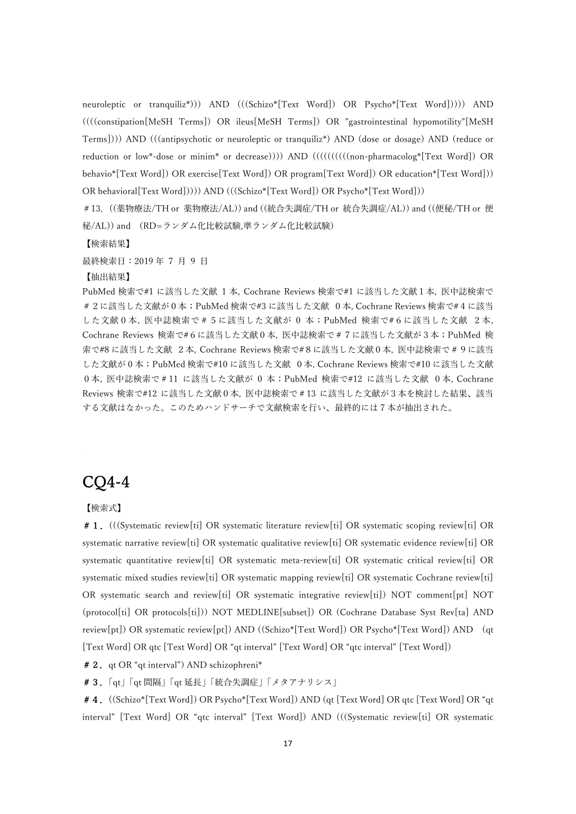neuroleptic or tranquiliz\*))) AND (((Schizo\*[Text Word]) OR Psycho\*[Text Word])))) AND ((((constipation[MeSH Terms]) OR ileus[MeSH Terms]) OR "gastrointestinal hypomotility"[MeSH Terms]))) AND (((antipsychotic or neuroleptic or tranquiliz\*) AND (dose or dosage) AND (reduce or reduction or low\*-dose or minim\* or decrease)))) AND ((((((((((non-pharmacolog\*[Text Word]) OR behavio\*[Text Word]) OR exercise[Text Word]) OR program[Text Word]) OR education\*[Text Word])) OR behavioral[Text Word])))) AND (((Schizo\*[Text Word]) OR Psycho\*[Text Word]))

#13.((薬物療法/TH or 薬物療法/AL)) and ((統合失調症/TH or 統合失調症/AL)) and ((便秘/TH or 便 秘/AL)) and (RD=ランダム化⽐較試験,準ランダム化⽐較試験)

【検索結果】

最終検索日: 2019年7月9日

【抽出結果】

PubMed 検索で#1 に該当した⽂献 1 本, Cochrane Reviews 検索で#1 に該当した⽂献1本, 医中誌検索で #2に該当した⽂献が0本;PubMed 検索で#3 に該当した⽂献 0本, Cochrane Reviews 検索で#4に該当 した文献0本, 医中誌検索で#5に該当した文献が 0 本; PubMed 検索で#6に該当した文献 2本, Cochrane Reviews 検索で#6に該当した⽂献0本, 医中誌検索で#7に該当した⽂献が3本;PubMed 検 索で#8 に該当した⽂献 2本, Cochrane Reviews 検索で#8に該当した⽂献0本, 医中誌検索で#9に該当 した文献が0本; PubMed 検索で#10 に該当した文献 0本, Cochrane Reviews 検索で#10 に該当した文献 0本, 医中誌検索で#11 に該当した⽂献が 0 本;PubMed 検索で#12 に該当した⽂献 0本, Cochrane Reviews 検索で#12 に該当した⽂献0本, 医中誌検索で#13 に該当した⽂献が3本を検討した結果、該当 する文献はなかった。このためハンドサーチで文献検索を行い、最終的には7本が抽出された。

# CQ4-4

【検索式】

#1.(((Systematic review[ti] OR systematic literature review[ti] OR systematic scoping review[ti] OR systematic narrative review[ti] OR systematic qualitative review[ti] OR systematic evidence review[ti] OR systematic quantitative review[ti] OR systematic meta-review[ti] OR systematic critical review[ti] OR systematic mixed studies review[ti] OR systematic mapping review[ti] OR systematic Cochrane review[ti] OR systematic search and review[ti] OR systematic integrative review[ti]) NOT comment[pt] NOT (protocol[ti] OR protocols[ti])) NOT MEDLINE[subset]) OR (Cochrane Database Syst Rev[ta] AND review[pt]) OR systematic review[pt]) AND ((Schizo\*[Text Word]) OR Psycho\*[Text Word]) AND (qt [Text Word] OR qtc [Text Word] OR "qt interval" [Text Word] OR "qtc interval" [Text Word])

# 2. qt OR "qt interval") AND schizophreni\*

#3.「qt」「qt 間隔」「qt 延⻑」「統合失調症」「メタアナリシス」

#4.((Schizo\*[Text Word]) OR Psycho\*[Text Word]) AND (qt [Text Word] OR qtc [Text Word] OR "qt interval" [Text Word] OR "qtc interval" [Text Word]) AND (((Systematic review[ti] OR systematic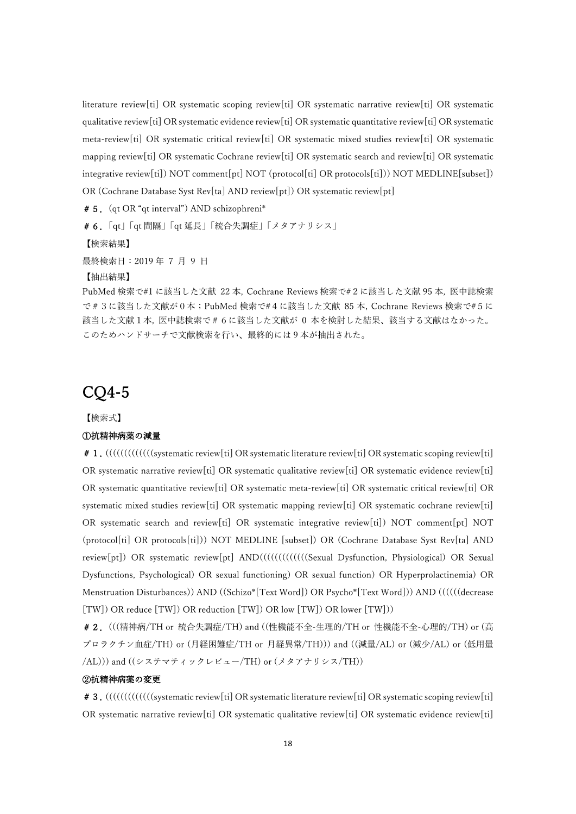literature review[ti] OR systematic scoping review[ti] OR systematic narrative review[ti] OR systematic qualitative review[ti] OR systematic evidence review[ti] OR systematic quantitative review[ti] OR systematic meta-review[ti] OR systematic critical review[ti] OR systematic mixed studies review[ti] OR systematic mapping review[ti] OR systematic Cochrane review[ti] OR systematic search and review[ti] OR systematic integrative review[ti]) NOT comment[pt] NOT (protocol[ti] OR protocols[ti])) NOT MEDLINE[subset]) OR (Cochrane Database Syst Rev[ta] AND review[pt]) OR systematic review[pt]

# 5. (qt OR "qt interval") AND schizophreni\*

#6.「qt」「qt 間隔」「qt 延⻑」「統合失調症」「メタアナリシス」

【検索結果】

最終検索日: 2019年7月9日

【抽出結果】

PubMed 検索で#1 に該当した⽂献 22 本, Cochrane Reviews 検索で#2に該当した⽂献 95 本, 医中誌検索 で#3に該当した⽂献が0本;PubMed 検索で#4に該当した⽂献 85 本, Cochrane Reviews 検索で#5に 該当した文献1本, 医中誌検索で#6に該当した文献が 0 本を検討した結果、該当する文献はなかった。 このためハンドサーチで文献検索を行い、最終的には9本が抽出された。

### CQ4-5

【検索式】

#### ①抗精神病薬の減量

# 1.  $(((((())_{\text{infinite}})^{\text{infinite}})$  OR systematic literature review[ti] OR systematic scoping review[ti] OR systematic narrative review[ti] OR systematic qualitative review[ti] OR systematic evidence review[ti] OR systematic quantitative review[ti] OR systematic meta-review[ti] OR systematic critical review[ti] OR systematic mixed studies review[ti] OR systematic mapping review[ti] OR systematic cochrane review[ti] OR systematic search and review[ti] OR systematic integrative review[ti]) NOT comment[pt] NOT (protocol[ti] OR protocols[ti])) NOT MEDLINE [subset]) OR (Cochrane Database Syst Rev[ta] AND review[pt]) OR systematic review[pt] AND((((((((((((((Sexual Dysfunction, Physiological) OR Sexual Dysfunctions, Psychological) OR sexual functioning) OR sexual function) OR Hyperprolactinemia) OR Menstruation Disturbances)) AND ((Schizo\*[Text Word]) OR Psycho\*[Text Word])) AND ((((((decrease [TW]) OR reduce [TW]) OR reduction [TW]) OR low [TW]) OR lower [TW]))

# 2. (((精神病/TH or 統合失調症/TH) and ((性機能不全-生理的/TH or 性機能不全-心理的/TH) or (高 プロラクチン血症/TH) or (月経困難症/TH or 月経異常/TH))) and ((減量/AL) or (減少/AL) or (低用量 /AL))) and ((システマティックレビュー/TH) or (メタアナリシス/TH))

### ②抗精神病薬の変更

# 3. ((((((((((((((systematic review[ti] OR systematic literature review[ti] OR systematic scoping review[ti] OR systematic narrative review[ti] OR systematic qualitative review[ti] OR systematic evidence review[ti]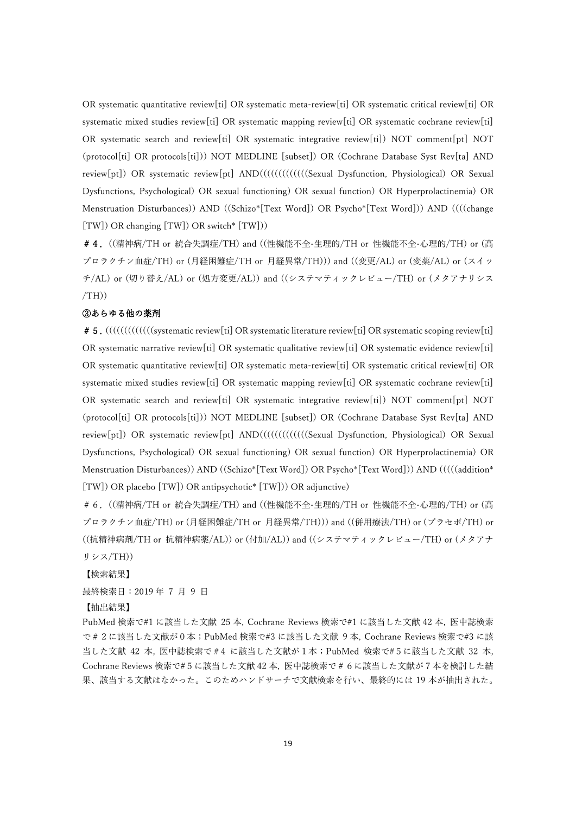OR systematic quantitative review[ti] OR systematic meta-review[ti] OR systematic critical review[ti] OR systematic mixed studies review[ti] OR systematic mapping review[ti] OR systematic cochrane review[ti] OR systematic search and review[ti] OR systematic integrative review[ti]) NOT comment[pt] NOT (protocol[ti] OR protocols[ti])) NOT MEDLINE [subset]) OR (Cochrane Database Syst Rev[ta] AND review[pt]) OR systematic review[pt] AND((((((((((((((Sexual Dysfunction, Physiological) OR Sexual Dysfunctions, Psychological) OR sexual functioning) OR sexual function) OR Hyperprolactinemia) OR Menstruation Disturbances)) AND ((Schizo\*[Text Word]) OR Psycho\*[Text Word])) AND ((((change [TW]) OR changing [TW]) OR switch\* [TW]))

# 4. ((精神病/TH or 統合失調症/TH) and ((性機能不全-生理的/TH or 性機能不全-心理的/TH) or (高 プロラクチン⾎症/TH) or (⽉経困難症/TH or ⽉経異常/TH))) and ((変更/AL) or (変薬/AL) or (スイッ チ/AL) or (切り替え/AL) or (処⽅変更/AL)) and ((システマティックレビュー/TH) or (メタアナリシス  $/TH))$ 

### ③あらゆる他の薬剤

# 5.  $(((((())_{\text{infinite}})^{\text{infinite}})$  OR systematic literature review[ti] OR systematic scoping review[ti] OR systematic narrative review[ti] OR systematic qualitative review[ti] OR systematic evidence review[ti] OR systematic quantitative review[ti] OR systematic meta-review[ti] OR systematic critical review[ti] OR systematic mixed studies review[ti] OR systematic mapping review[ti] OR systematic cochrane review[ti] OR systematic search and review[ti] OR systematic integrative review[ti]) NOT comment[pt] NOT (protocol[ti] OR protocols[ti])) NOT MEDLINE [subset]) OR (Cochrane Database Syst Rev[ta] AND review[pt]) OR systematic review[pt] AND(((((((((((((Sexual Dysfunction, Physiological) OR Sexual Dysfunctions, Psychological) OR sexual functioning) OR sexual function) OR Hyperprolactinemia) OR Menstruation Disturbances)) AND ((Schizo\*[Text Word]) OR Psycho\*[Text Word])) AND (((((addition\* [TW]) OR placebo [TW]) OR antipsychotic\* [TW])) OR adjunctive)

# 6. ((精神病/TH or 統合失調症/TH) and ((性機能不全-生理的/TH or 性機能不全-心理的/TH) or (高 プロラクチン血症/TH) or (月経困難症/TH or 月経異常/TH))) and ((併用療法/TH) or (プラセボ/TH) or ((抗精神病剤/TH or 抗精神病薬/AL)) or (付加/AL)) and ((システマティックレビュー/TH) or (メタアナ リシス/TH))

【検索結果】

最終検索日: 2019年 7 月 9 日

【抽出結果】

PubMed 検索で#1 に該当した⽂献 25 本, Cochrane Reviews 検索で#1 に該当した⽂献 42 本, 医中誌検索 で#2に該当した⽂献が0本;PubMed 検索で#3 に該当した⽂献 9 本, Cochrane Reviews 検索で#3 に該 当した文献 42 本, 医中誌検索で#4 に該当した文献が1本;PubMed 検索で#5に該当した文献 32 本, Cochrane Reviews 検索で#5に該当した⽂献 42 本, 医中誌検索で#6に該当した⽂献が 7 本を検討した結 果、該当する文献はなかった。このためハンドサーチで文献検索を行い、最終的には 19 本が抽出された。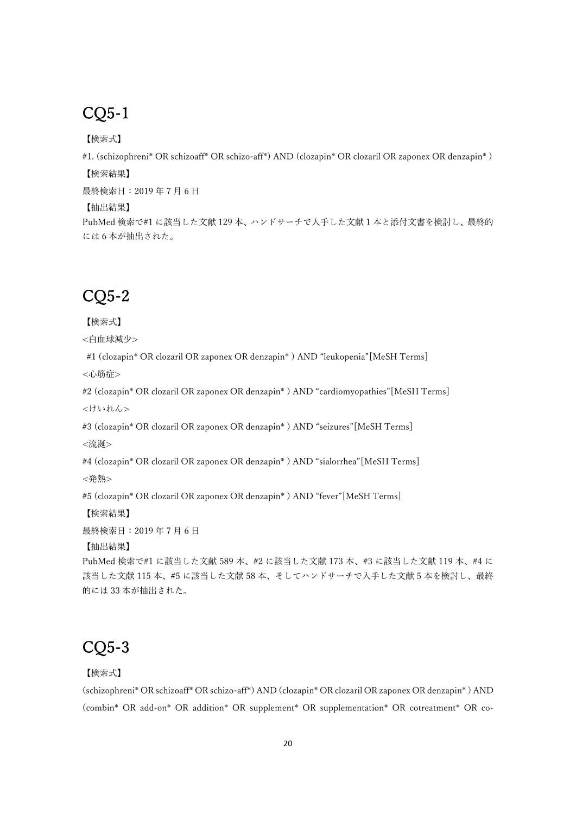# CQ5-1

【検索式】

#1. (schizophreni\* OR schizoaff\* OR schizo-aff\*) AND (clozapin\* OR clozaril OR zaponex OR denzapin\* ) 【検索結果】

最終検索日: 2019年7月6日

【抽出結果】

PubMed 検索で#1 に該当した文献 129 本、ハンドサーチで入手した文献 1 本と添付文書を検討し、最終的 には 6 本が抽出された。

# CQ5-2

【検索式】

<白血球減少>

#1 (clozapin\* OR clozaril OR zaponex OR denzapin\* ) AND "leukopenia"[MeSH Terms]

<心筋症>

#2 (clozapin\* OR clozaril OR zaponex OR denzapin\* ) AND "cardiomyopathies"[MeSH Terms] <けいれん>

#3 (clozapin\* OR clozaril OR zaponex OR denzapin\* ) AND "seizures"[MeSH Terms]

<流涎>

#4 (clozapin\* OR clozaril OR zaponex OR denzapin\* ) AND "sialorrhea"[MeSH Terms]

<発熱>

#5 (clozapin\* OR clozaril OR zaponex OR denzapin\* ) AND "fever"[MeSH Terms]

【検索結果】

最終検索日: 2019年7月6日

【抽出結果】

PubMed 検索で#1 に該当した文献 589 本、#2 に該当した文献 173 本、#3 に該当した文献 119 本、#4 に 該当した文献 115 本、#5 に該当した文献 58 本、そしてハンドサーチで入手した文献 5 本を検討し、最終 的には 33 本が抽出された。

# CQ5-3

【検索式】

(schizophreni\* OR schizoaff\* OR schizo-aff\*) AND (clozapin\* OR clozaril OR zaponex OR denzapin\* ) AND (combin\* OR add-on\* OR addition\* OR supplement\* OR supplementation\* OR cotreatment\* OR co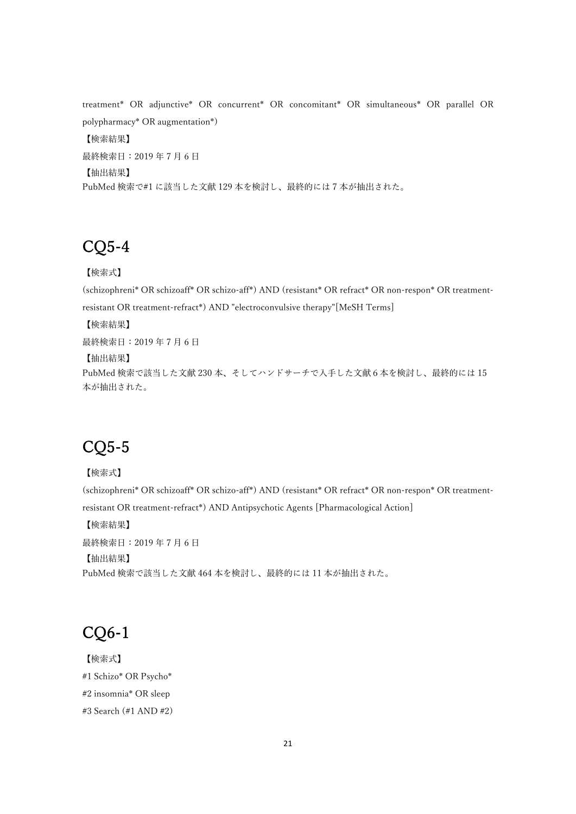treatment\* OR adjunctive\* OR concurrent\* OR concomitant\* OR simultaneous\* OR parallel OR polypharmacy\* OR augmentation\*) 【検索結果】 最終検索日: 2019年7月6日 【抽出結果】 PubMed 検索で#1 に該当した⽂献 129 本を検討し、最終的には 7 本が抽出された。

## CQ5-4

【検索式】

(schizophreni\* OR schizoaff\* OR schizo-aff\*) AND (resistant\* OR refract\* OR non-respon\* OR treatmentresistant OR treatment-refract\*) AND "electroconvulsive therapy"[MeSH Terms]

【検索結果】

最終検索日: 2019年7月6日 【抽出結果】 PubMed 検索で該当した文献 230 本、そしてハンドサーチで入手した文献6本を検討し、最終的には 15

本が抽出された。

# CQ5-5

【検索式】 (schizophreni\* OR schizoaff\* OR schizo-aff\*) AND (resistant\* OR refract\* OR non-respon\* OR treatmentresistant OR treatment-refract\*) AND Antipsychotic Agents [Pharmacological Action] 【検索結果】

最終検索日: 2019年7月6日 【抽出結果】 PubMed 検索で該当した⽂献 464 本を検討し、最終的には 11 本が抽出された。

# CQ6-1

【検索式】 #1 Schizo\* OR Psycho\* #2 insomnia\* OR sleep #3 Search (#1 AND #2)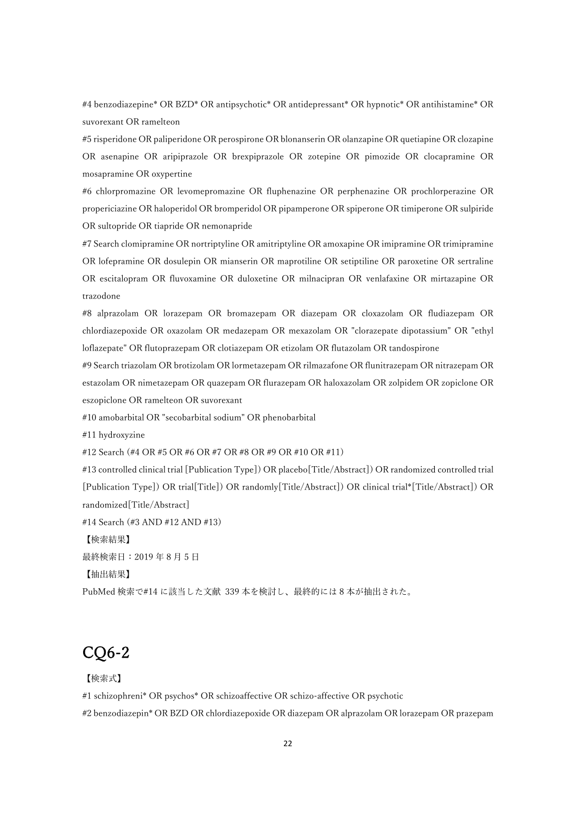#4 benzodiazepine\* OR BZD\* OR antipsychotic\* OR antidepressant\* OR hypnotic\* OR antihistamine\* OR suvorexant OR ramelteon

#5 risperidone OR paliperidone OR perospirone OR blonanserin OR olanzapine OR quetiapine OR clozapine OR asenapine OR aripiprazole OR brexpiprazole OR zotepine OR pimozide OR clocapramine OR mosapramine OR oxypertine

#6 chlorpromazine OR levomepromazine OR fluphenazine OR perphenazine OR prochlorperazine OR propericiazine OR haloperidol OR bromperidol OR pipamperone OR spiperone OR timiperone OR sulpiride OR sultopride OR tiapride OR nemonapride

#7 Search clomipramine OR nortriptyline OR amitriptyline OR amoxapine OR imipramine OR trimipramine OR lofepramine OR dosulepin OR mianserin OR maprotiline OR setiptiline OR paroxetine OR sertraline OR escitalopram OR fluvoxamine OR duloxetine OR milnacipran OR venlafaxine OR mirtazapine OR trazodone

#8 alprazolam OR lorazepam OR bromazepam OR diazepam OR cloxazolam OR fludiazepam OR chlordiazepoxide OR oxazolam OR medazepam OR mexazolam OR "clorazepate dipotassium" OR "ethyl loflazepate" OR flutoprazepam OR clotiazepam OR etizolam OR flutazolam OR tandospirone

#9 Search triazolam OR brotizolam OR lormetazepam OR rilmazafone OR flunitrazepam OR nitrazepam OR estazolam OR nimetazepam OR quazepam OR flurazepam OR haloxazolam OR zolpidem OR zopiclone OR eszopiclone OR ramelteon OR suvorexant

#10 amobarbital OR "secobarbital sodium" OR phenobarbital

#11 hydroxyzine

#12 Search (#4 OR #5 OR #6 OR #7 OR #8 OR #9 OR #10 OR #11)

#13 controlled clinical trial [Publication Type]) OR placebo[Title/Abstract]) OR randomized controlled trial [Publication Type]) OR trial[Title]) OR randomly[Title/Abstract]) OR clinical trial\*[Title/Abstract]) OR randomized[Title/Abstract]

#14 Search (#3 AND #12 AND #13)

【検索結果】

最終検索日: 2019年8月5日

【抽出結果】

PubMed 検索で#14 に該当した⽂献 339 本を検討し、最終的には 8 本が抽出された。

# CQ6-2

【検索式】

#1 schizophreni\* OR psychos\* OR schizoaffective OR schizo-affective OR psychotic #2 benzodiazepin\* OR BZD OR chlordiazepoxide OR diazepam OR alprazolam OR lorazepam OR prazepam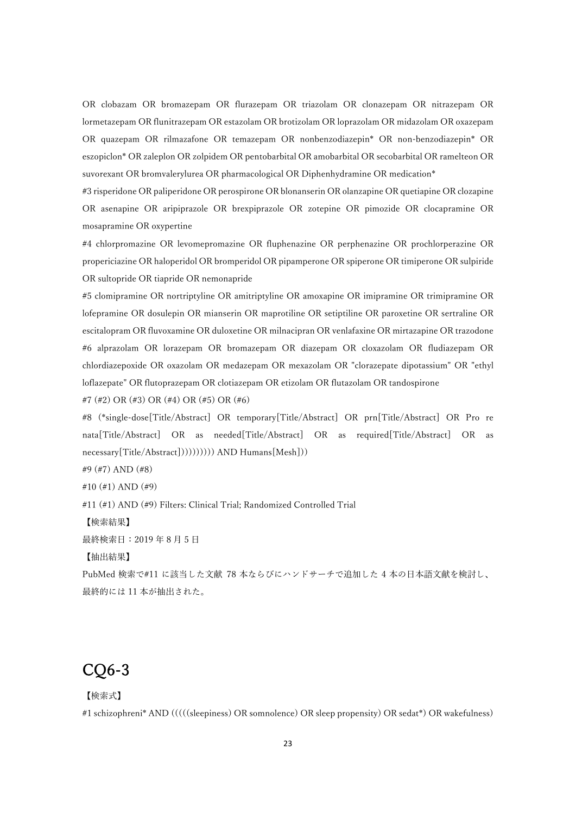OR clobazam OR bromazepam OR flurazepam OR triazolam OR clonazepam OR nitrazepam OR lormetazepam OR flunitrazepam OR estazolam OR brotizolam OR loprazolam OR midazolam OR oxazepam OR quazepam OR rilmazafone OR temazepam OR nonbenzodiazepin\* OR non-benzodiazepin\* OR eszopiclon\* OR zaleplon OR zolpidem OR pentobarbital OR amobarbital OR secobarbital OR ramelteon OR suvorexant OR bromvalerylurea OR pharmacological OR Diphenhydramine OR medication\*

#3 risperidone OR paliperidone OR perospirone OR blonanserin OR olanzapine OR quetiapine OR clozapine OR asenapine OR aripiprazole OR brexpiprazole OR zotepine OR pimozide OR clocapramine OR mosapramine OR oxypertine

#4 chlorpromazine OR levomepromazine OR fluphenazine OR perphenazine OR prochlorperazine OR propericiazine OR haloperidol OR bromperidol OR pipamperone OR spiperone OR timiperone OR sulpiride OR sultopride OR tiapride OR nemonapride

#5 clomipramine OR nortriptyline OR amitriptyline OR amoxapine OR imipramine OR trimipramine OR lofepramine OR dosulepin OR mianserin OR maprotiline OR setiptiline OR paroxetine OR sertraline OR escitalopram OR fluvoxamine OR duloxetine OR milnacipran OR venlafaxine OR mirtazapine OR trazodone #6 alprazolam OR lorazepam OR bromazepam OR diazepam OR cloxazolam OR fludiazepam OR chlordiazepoxide OR oxazolam OR medazepam OR mexazolam OR "clorazepate dipotassium" OR "ethyl loflazepate" OR flutoprazepam OR clotiazepam OR etizolam OR flutazolam OR tandospirone

#7 (#2) OR (#3) OR (#4) OR (#5) OR (#6)

#8 (\*single-dose[Title/Abstract] OR temporary[Title/Abstract] OR prn[Title/Abstract] OR Pro re nata[Title/Abstract] OR as needed[Title/Abstract] OR as required[Title/Abstract] OR as necessary[Title/Abstract]))))))))) AND Humans[Mesh]))

#9 (#7) AND (#8)

#10 (#1) AND (#9)

#11 (#1) AND (#9) Filters: Clinical Trial; Randomized Controlled Trial

【検索結果】

最終検索日: 2019年8月5日

【抽出結果】

PubMed 検索で#11 に該当した文献 78 本ならびにハンドサーチで追加した 4 本の日本語文献を検討し、 最終的には 11 本が抽出された。

# CQ6-3

【検索式】

#1 schizophreni\* AND (((((sleepiness) OR somnolence) OR sleep propensity) OR sedat\*) OR wakefulness)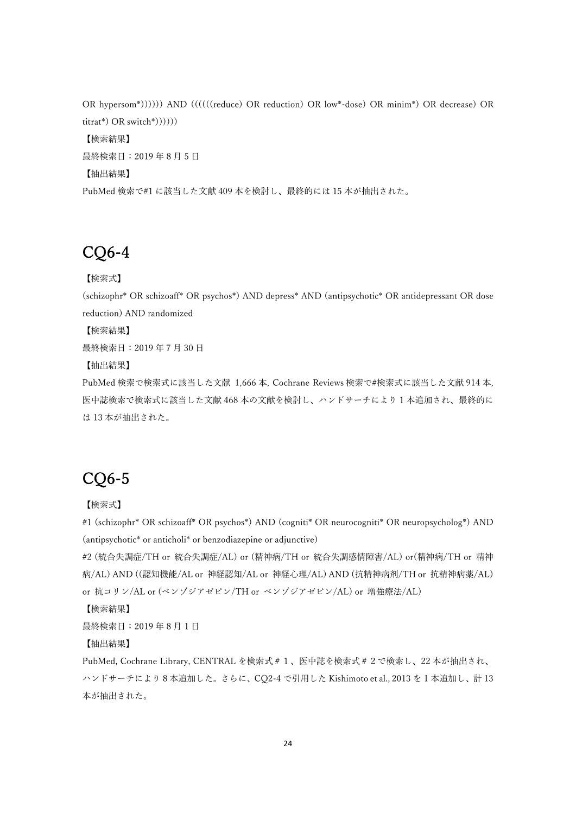OR hypersom\*)))))) AND ((((((reduce) OR reduction) OR low\*-dose) OR minim\*) OR decrease) OR titrat\*) OR switch\*)))))) 【検索結果】 最終検索日: 2019年8月5日 【抽出結果】 PubMed 検索で#1 に該当した⽂献 409 本を検討し、最終的には 15 本が抽出された。

## CQ6-4

【検索式】

(schizophr\* OR schizoaff\* OR psychos\*) AND depress\* AND (antipsychotic\* OR antidepressant OR dose reduction) AND randomized

【検索結果】

最終検索⽇:2019 年7⽉ 30 ⽇

【抽出結果】

PubMed 検索で検索式に該当した文献 1,666 本, Cochrane Reviews 検索で#検索式に該当した文献 914 本, 医中誌検索で検索式に該当した⽂献 468 本の⽂献を検討し、ハンドサーチにより 1 本追加され、最終的に は 13 本が抽出された。

# CQ6-5

【検索式】

#1 (schizophr\* OR schizoaff\* OR psychos\*) AND (cogniti\* OR neurocogniti\* OR neuropsycholog\*) AND (antipsychotic\* or anticholi\* or benzodiazepine or adjunctive)

#2 (統合失調症/TH or 統合失調症/AL) or (精神病/TH or 統合失調感情障害/AL) or(精神病/TH or 精神 病/AL) AND ((認知機能/AL or 神経認知/AL or 神経心理/AL) AND (抗精神病剤/TH or 抗精神病薬/AL) or 抗コリン/AL or (ベンゾジアゼピン/TH or ベンゾジアゼピン/AL) or 増強療法/AL)

【検索結果】

最終検索日: 2019年8月1日

【抽出結果】

PubMed, Cochrane Library, CENTRAL を検索式#1、医中誌を検索式#2で検索し、22 本が抽出され、 ハンドサーチにより 8 本追加した。さらに、CQ2-4 で引⽤した Kishimoto et al., 2013 を 1 本追加し、計 13 本が抽出された。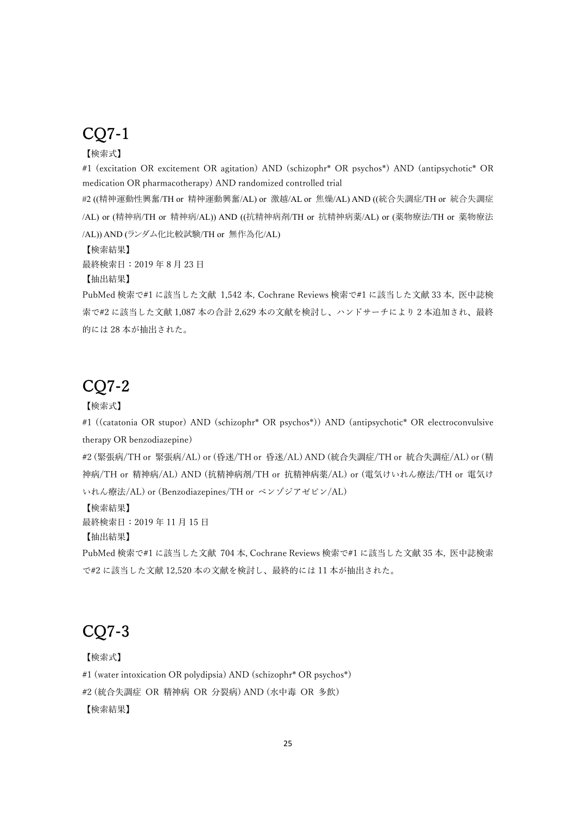## CQ7-1

### 【検索式】

#1 (excitation OR excitement OR agitation) AND (schizophr\* OR psychos\*) AND (antipsychotic\* OR medication OR pharmacotherapy) AND randomized controlled trial

#2 ((精神運動性興奮/TH or 精神運動興奮/AL) or 激越/AL or 焦燥/AL) AND ((統合失調症/TH or 統合失調症 /AL) or (精神病/TH or 精神病/AL)) AND ((抗精神病剤/TH or 抗精神病薬/AL) or (薬物療法/TH or 薬物療法 /AL)) AND (ランダム化比較試験/TH or 無作為化/AL)

【検索結果】

最終検索日: 2019年8月23日

【抽出結果】

PubMed 検索で#1 に該当した⽂献 1,542 本, Cochrane Reviews 検索で#1 に該当した⽂献 33 本, 医中誌検 索で#2 に該当した文献 1,087 本の合計 2,629 本の文献を検討し、ハンドサーチにより 2 本追加され、最終 的には 28 本が抽出された。

## CQ7-2

#### 【検索式】

#1 ((catatonia OR stupor) AND (schizophr\* OR psychos\*)) AND (antipsychotic\* OR electroconvulsive therapy OR benzodiazepine)

#2 (緊張病/TH or 緊張病/AL) or (昏迷/TH or 昏迷/AL) AND (統合失調症/TH or 統合失調症/AL) or (精 神病/TH or 精神病/AL) AND (抗精神病剤/TH or 抗精神病薬/AL) or (電気けいれん療法/TH or 電気け いれん療法/AL) or (Benzodiazepines/TH or ベンゾジアゼピン/AL)

【検索結果】

最終検索日: 2019年11月15日

【抽出結果】

PubMed 検索で#1 に該当した⽂献 704 本, Cochrane Reviews 検索で#1 に該当した⽂献 35 本, 医中誌検索 で#2 に該当した⽂献 12,520 本の⽂献を検討し、最終的には 11 本が抽出された。

# CQ7-3

【検索式】

#1 (water intoxication OR polydipsia) AND (schizophr\* OR psychos\*)

#2 (統合失調症 OR 精神病 OR 分裂病) AND (水中毒 OR 多飲)

【検索結果】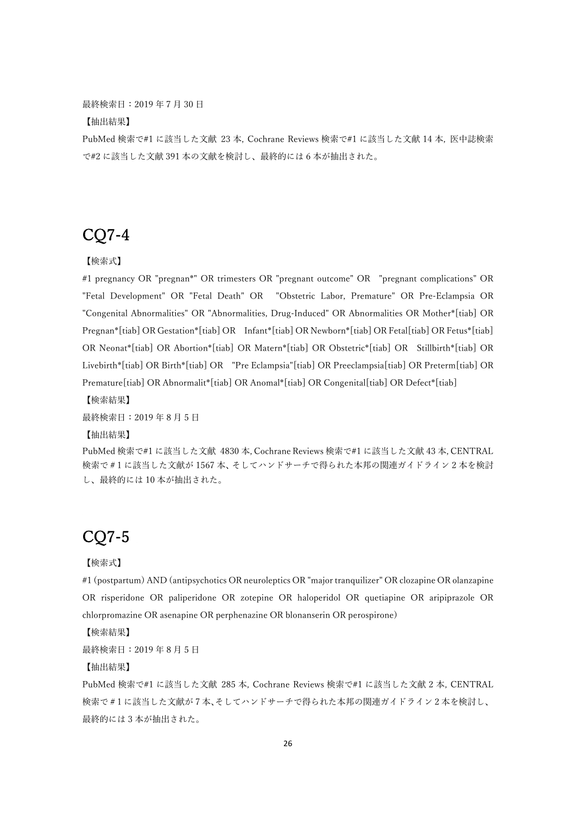最終検索⽇:2019 年7⽉ 30 ⽇

【抽出結果】

PubMed 検索で#1 に該当した⽂献 23 本, Cochrane Reviews 検索で#1 に該当した⽂献 14 本, 医中誌検索 で#2 に該当した⽂献 391 本の⽂献を検討し、最終的には 6 本が抽出された。

# CQ7-4

【検索式】

#1 pregnancy OR "pregnan\*" OR trimesters OR "pregnant outcome" OR "pregnant complications" OR "Fetal Development" OR "Fetal Death" OR "Obstetric Labor, Premature" OR Pre-Eclampsia OR "Congenital Abnormalities" OR "Abnormalities, Drug-Induced" OR Abnormalities OR Mother\*[tiab] OR Pregnan\*[tiab] OR Gestation\*[tiab] OR Infant\*[tiab] OR Newborn\*[tiab] OR Fetal[tiab] OR Fetus\*[tiab] OR Neonat\*[tiab] OR Abortion\*[tiab] OR Matern\*[tiab] OR Obstetric\*[tiab] OR Stillbirth\*[tiab] OR Livebirth\*[tiab] OR Birth\*[tiab] OR "Pre Eclampsia"[tiab] OR Preeclampsia[tiab] OR Preterm[tiab] OR Premature[tiab] OR Abnormalit\*[tiab] OR Anomal\*[tiab] OR Congenital[tiab] OR Defect\*[tiab]

【検索結果】

最終検索日: 2019年8月5日

【抽出結果】

PubMed 検索で#1 に該当した⽂献 4830 本, Cochrane Reviews 検索で#1 に該当した⽂献 43 本, CENTRAL 検索で#1に該当した文献が1567本、そしてハンドサーチで得られた本邦の関連ガイドライン2本を検討 し、最終的には 10 本が抽出された。

## CQ7-5

【検索式】

#1 (postpartum) AND (antipsychotics OR neuroleptics OR "major tranquilizer" OR clozapine OR olanzapine OR risperidone OR paliperidone OR zotepine OR haloperidol OR quetiapine OR aripiprazole OR chlorpromazine OR asenapine OR perphenazine OR blonanserin OR perospirone)

【検索結果】

最終検索日: 2019年8月5日

【抽出結果】

PubMed 検索で#1 に該当した⽂献 285 本, Cochrane Reviews 検索で#1 に該当した⽂献 2 本, CENTRAL 検索で#1 に該当した⽂献が 7 本、そしてハンドサーチで得られた本邦の関連ガイドライン 2 本を検討し、 最終的には 3 本が抽出された。